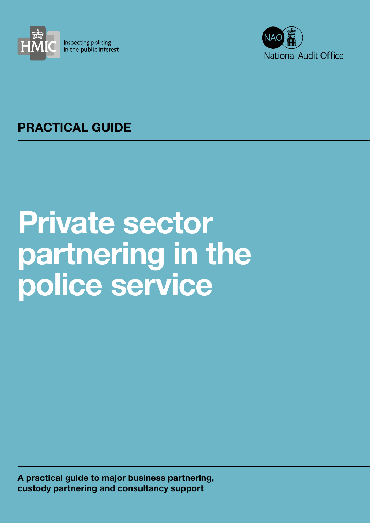



# PRACTICAL GUIDE

# Private sector partnering in the police service

A practical guide to major business partnering, custody partnering and consultancy support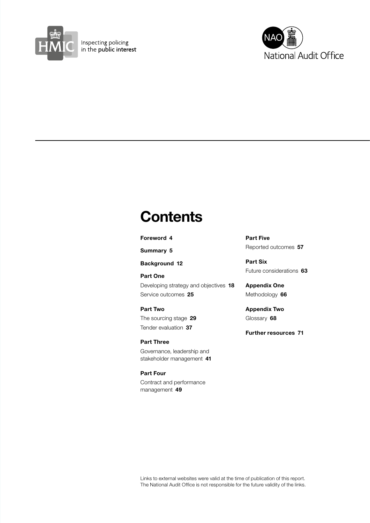



# **Contents**

#### [Foreword](#page-3-0) 4

[Summary](#page-4-0) 5

[Background](#page-11-0) 12

[Part One](#page-17-0)

[Developing strategy and objectives](#page-17-0) 18 Service outcomes 25

[Part Two](#page-28-0) [The sourcing stage](#page-28-0) 29 Tender evaluation 37

[Part Three](#page-40-0) [Governance, leadership and](#page-40-0)  [stakeholder management](#page-40-0) 41

[Part Four](#page-48-0) [Contract and performance](#page-48-0)  [management](#page-48-0) 49

[Part Five](#page-56-0) [Reported outcomes](#page-56-0) 57

[Part Six](#page-62-0) [Future considerations](#page-62-0) 63

[Appendix One](#page-65-0) [Methodology](#page-65-0) 66

[Appendix Two](#page-67-0) [Glossary](#page-67-0) 68

[Further resources](#page-70-0) 71

Links to external websites were valid at the time of publication of this report. The National Audit Office is not responsible for the future validity of the links.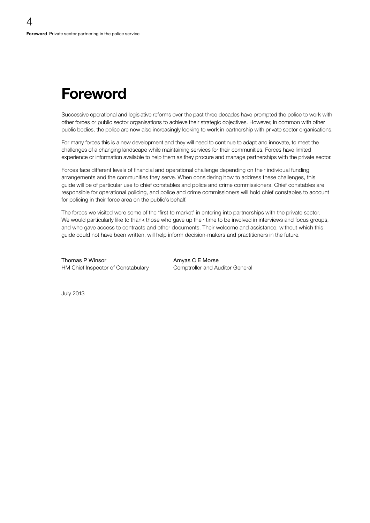# <span id="page-3-0"></span>Foreword

Successive operational and legislative reforms over the past three decades have prompted the police to work with other forces or public sector organisations to achieve their strategic objectives. However, in common with other public bodies, the police are now also increasingly looking to work in partnership with private sector organisations.

For many forces this is a new development and they will need to continue to adapt and innovate, to meet the challenges of a changing landscape while maintaining services for their communities. Forces have limited experience or information available to help them as they procure and manage partnerships with the private sector.

Forces face different levels of financial and operational challenge depending on their individual funding arrangements and the communities they serve. When considering how to address these challenges, this guide will be of particular use to chief constables and police and crime commissioners. Chief constables are responsible for operational policing, and police and crime commissioners will hold chief constables to account for policing in their force area on the public's behalf.

The forces we visited were some of the 'first to market' in entering into partnerships with the private sector. We would particularly like to thank those who gave up their time to be involved in interviews and focus groups, and who gave access to contracts and other documents. Their welcome and assistance, without which this guide could not have been written, will help inform decision-makers and practitioners in the future.

Thomas P Winsor **Amyas C E Morse** HM Chief Inspector of Constabulary Comptroller and Auditor General

July 2013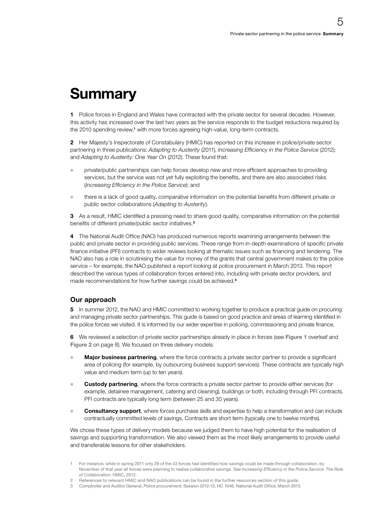# <span id="page-4-0"></span>**Summary**

1 Police forces in England and Wales have contracted with the private sector for several decades. However, this activity has increased over the last two years as the service responds to the budget reductions required by the 2010 spending review,<sup>1</sup> with more forces agreeing high-value, long-term contracts.

2 Her Majesty's Inspectorate of Constabulary (HMIC) has reported on this increase in police/private sector partnering in three publications: *Adapting to Austerity* (2011), *Increasing Efficiency in the Police Service* (2012); and *Adapting to Austerity: One Year On* (2012). These found that:

- private/public partnerships can help forces develop new and more efficient approaches to providing services, but the service was not yet fully exploiting the benefits, and there are also associated risks (*Increasing Efficiency in the Police Service*); and
- <sup>O</sup> there is a lack of good quality, comparative information on the potential benefits from different private or public sector collaborations (*Adapting to Austerity*).

3 As a result. HMIC identified a pressing need to share good quality, comparative information on the potential benefits of different private/public sector initiatives.<sup>2</sup>

4 The National Audit Office (NAO) has produced numerous reports examining arrangements between the public and private sector in providing public services. These range from in-depth examinations of specific private finance initiative (PFI) contracts to wider reviews looking at thematic issues such as financing and tendering. The NAO also has a role in scrutinising the value for money of the grants that central government makes to the police service – for example, the NAO published a report looking at police procurement in March 2013. This report described the various types of collaboration forces entered into, including with private sector providers, and made recommendations for how further savings could be achieved.<sup>3</sup>

# Our approach

5 In summer 2012, the NAO and HMIC committed to working together to produce a practical guide on procuring and managing private sector partnerships. This guide is based on good practice and areas of learning identified in the police forces we visited. It is informed by our wider expertise in policing, commissioning and private finance.

6 We reviewed a selection of private sector partnerships already in place in forces (see Figure 1 overleaf and Figure 2 on page 8). We focused on three delivery models:

- **Major business partnering**, where the force contracts a private sector partner to provide a significant area of policing (for example, by outsourcing business support services). These contracts are typically high value and medium term (up to ten years).
- **Custody partnering**, where the force contracts a private sector partner to provide either services (for example, detainee management, catering and cleaning), buildings or both, including through PFI contracts. PFI contracts are typically long term (between 25 and 30 years).
- **Consultancy support**, where forces purchase skills and expertise to help a transformation and can include contractually committed levels of savings. Contracts are short term (typically one to twelve months).

We chose these types of delivery models because we judged them to have high potential for the realisation of savings and supporting transformation. We also viewed them as the most likely arrangements to provide useful and transferable lessons for other stakeholders.

<sup>1</sup> For instance, while in spring 2011 only 29 of the 43 forces had identified how savings could be made through collaboration, by November of that year all forces were planning to realise collaborative savings. See *Increasing Efficiency in the Police Service: The Role of Collaboration*, HMIC, 2012.

<sup>2</sup> References to relevant HMIC and NAO publications can be found in the further resources section of this guide.

<sup>3</sup> Comptroller and Auditor General, *Police procurement*, Session 2012-13, HC 1046, National Audit Office, March 2013.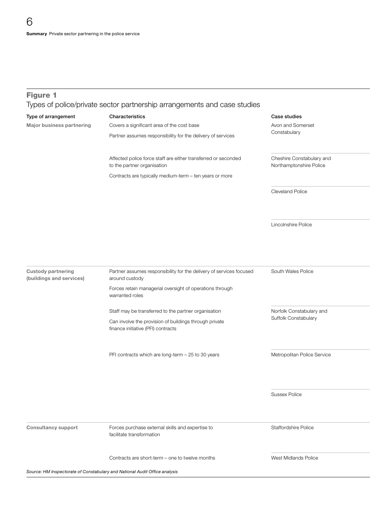# Figure 1

Types of police/private sector partnership arrangements and case studies

| Type of arrangement<br>Major business partnering      | Characteristics<br>Covers a significant area of the cost base<br>Partner assumes responsibility for the delivery of services                             | Case studies<br>Avon and Somerset<br>Constabulary    |  |
|-------------------------------------------------------|----------------------------------------------------------------------------------------------------------------------------------------------------------|------------------------------------------------------|--|
|                                                       | Affected police force staff are either transferred or seconded<br>to the partner organisation<br>Contracts are typically medium-term - ten years or more | Cheshire Constabulary and<br>Northamptonshire Police |  |
|                                                       |                                                                                                                                                          | Cleveland Police                                     |  |
|                                                       |                                                                                                                                                          | Lincolnshire Police                                  |  |
| <b>Custody partnering</b><br>(buildings and services) | Partner assumes responsibility for the delivery of services focused<br>around custody                                                                    | South Wales Police                                   |  |
|                                                       | Forces retain managerial oversight of operations through<br>warranted roles                                                                              |                                                      |  |
|                                                       | Staff may be transferred to the partner organisation<br>Can involve the provision of buildings through private<br>finance initiative (PFI) contracts     | Norfolk Constabulary and<br>Suffolk Constabulary     |  |
|                                                       | PFI contracts which are long-term - 25 to 30 years                                                                                                       | Metropolitan Police Service                          |  |
|                                                       |                                                                                                                                                          | <b>Sussex Police</b>                                 |  |
| <b>Consultancy support</b>                            | Forces purchase external skills and expertise to<br>facilitate transformation                                                                            | <b>Staffordshire Police</b>                          |  |
|                                                       | Contracts are short-term - one to twelve months                                                                                                          | West Midlands Police                                 |  |

Source: HM Inspectorate of Constabulary and National Audit Office analysis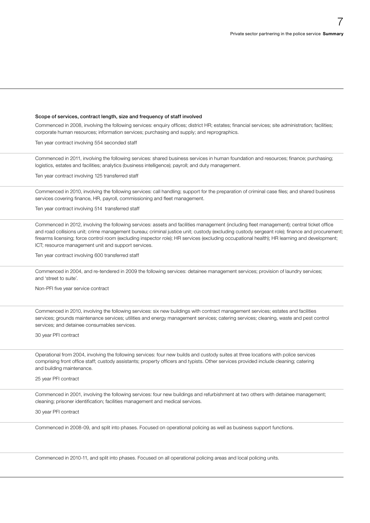# Scope of services, contract length, size and frequency of staff involved

Commenced in 2008, involving the following services: enquiry offices; district HR; estates; financial services; site administration; facilities; corporate human resources; information services; purchasing and supply; and reprographics.

Ten year contract involving 554 seconded staff

Commenced in 2011, involving the following services: shared business services in human foundation and resources; finance; purchasing; logistics, estates and facilities; analytics (business intelligence); payroll; and duty management.

Ten year contract involving 125 transferred staff

Commenced in 2010, involving the following services: call handling; support for the preparation of criminal case files; and shared business services covering finance, HR, payroll, commissioning and fleet management.

Ten year contract involving 514 transferred staff

Commenced in 2012, involving the following services: assets and facilities management (including fleet management); central ticket office and road collisions unit; crime management bureau; criminal justice unit; custody (excluding custody sergeant role); finance and procurement; firearms licensing; force control room (excluding inspector role); HR services (excluding occupational health); HR learning and development; ICT; resource management unit and support services.

Ten year contract involving 600 transferred staff

Commenced in 2004, and re-tendered in 2009 the following services: detainee management services; provision of laundry services; and 'street to suite'.

Non-PFI five year service contract

Commenced in 2010, involving the following services: six new buildings with contract management services; estates and facilities services; grounds maintenance services; utilities and energy management services; catering services; cleaning, waste and pest control services; and detainee consumables services.

30 year PFI contract

Operational from 2004, involving the following services: four new builds and custody suites at three locations with police services comprising front office staff; custody assistants; property officers and typists. Other services provided include cleaning; catering and building maintenance.

#### 25 year PFI contract

Commenced in 2001, involving the following services: four new buildings and refurbishment at two others with detainee management; cleaning; prisoner identification; facilities management and medical services.

30 year PFI contract

Commenced in 2008-09, and split into phases. Focused on operational policing as well as business support functions.

Commenced in 2010-11, and split into phases. Focused on all operational policing areas and local policing units.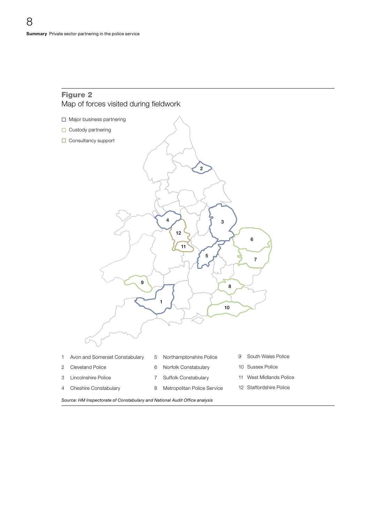# Figure 2 Map of forces visited during fieldwork



Source: HM Inspectorate of Constabulary and National Audit Office analysis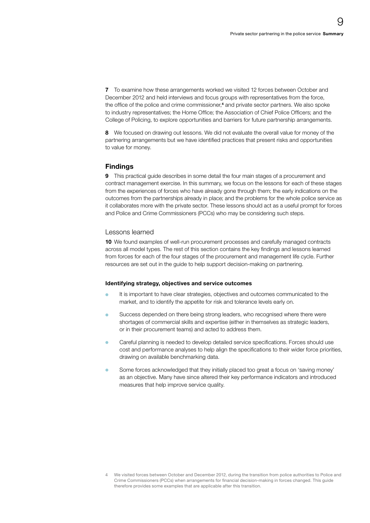7 To examine how these arrangements worked we visited 12 forces between October and December 2012 and held interviews and focus groups with representatives from the force, the office of the police and crime commissioner,<sup>4</sup> and private sector partners. We also spoke to industry representatives; the Home Office; the Association of Chief Police Officers; and the College of Policing, to explore opportunities and barriers for future partnership arrangements.

8 We focused on drawing out lessons. We did not evaluate the overall value for money of the partnering arrangements but we have identified practices that present risks and opportunities to value for money.

# Findings

9 This practical guide describes in some detail the four main stages of a procurement and contract management exercise. In this summary, we focus on the lessons for each of these stages from the experiences of forces who have already gone through them; the early indications on the outcomes from the partnerships already in place; and the problems for the whole police service as it collaborates more with the private sector. These lessons should act as a useful prompt for forces and Police and Crime Commissioners (PCCs) who may be considering such steps.

# Lessons learned

10 We found examples of well-run procurement processes and carefully managed contracts across all model types. The rest of this section contains the key findings and lessons learned from forces for each of the four stages of the procurement and management life cycle. Further resources are set out in the guide to help support decision-making on partnering.

### Identifying strategy, objectives and service outcomes

- <sup>O</sup> It is important to have clear strategies, objectives and outcomes communicated to the market, and to identify the appetite for risk and tolerance levels early on.
- <sup>O</sup> Success depended on there being strong leaders, who recognised where there were shortages of commercial skills and expertise (either in themselves as strategic leaders, or in their procurement teams) and acted to address them.
- <sup>O</sup> Careful planning is needed to develop detailed service specifications. Forces should use cost and performance analyses to help align the specifications to their wider force priorities, drawing on available benchmarking data.
- Some forces acknowledged that they initially placed too great a focus on 'saving money' as an objective. Many have since altered their key performance indicators and introduced measures that help improve service quality.

<sup>4</sup> We visited forces between October and December 2012, during the transition from police authorities to Police and Crime Commissioners (PCCs) when arrangements for financial decision-making in forces changed. This guide therefore provides some examples that are applicable after this transition.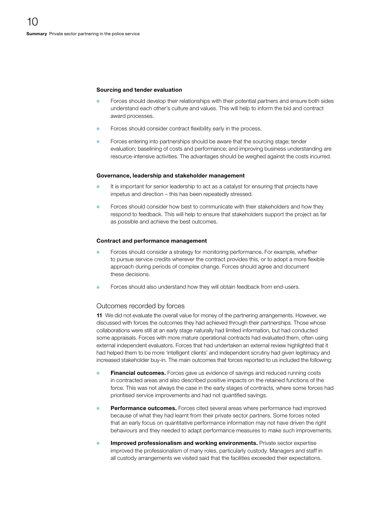#### Sourcing and tender evaluation

- Forces should develop their relationships with their potential partners and ensure both sides understand each other's culture and values. This will help to inform the bid and contract award processes.
- Forces should consider contract flexibility early in the process.
- Forces entering into partnerships should be aware that the sourcing stage; tender evaluation; baselining of costs and performance; and improving business understanding are resource-intensive activities. The advantages should be weighed against the costs incurred.

#### Governance, leadership and stakeholder management

- It is important for senior leadership to act as a catalyst for ensuring that projects have impetus and direction – this has been repeatedly stressed.
- Forces should consider how best to communicate with their stakeholders and how they respond to feedback. This will help to ensure that stakeholders support the project as far as possible and achieve the best outcomes.

#### Contract and performance management

- Forces should consider a strategy for monitoring performance. For example, whether to pursue service credits wherever the contract provides this, or to adopt a more flexible approach during periods of complex change. Forces should agree and document these decisions.
- Forces should also understand how they will obtain feedback from end-users.

### Outcomes recorded by forces

11 We did not evaluate the overall value for money of the partnering arrangements. However, we discussed with forces the outcomes they had achieved through their partnerships. Those whose collaborations were still at an early stage naturally had limited information, but had conducted some appraisals. Forces with more mature operational contracts had evaluated them, often using external independent evaluators. Forces that had undertaken an external review highlighted that it had helped them to be more 'intelligent clients' and independent scrutiny had given legitimacy and increased stakeholder buy-in. The main outcomes that forces reported to us included the following:

- **Financial outcomes.** Forces gave us evidence of savings and reduced running costs in contracted areas and also described positive impacts on the retained functions of the force. This was not always the case in the early stages of contracts, where some forces had prioritised service improvements and had not quantified savings.
- Performance outcomes. Forces cited several areas where performance had improved because of what they had learnt from their private sector partners. Some forces noted that an early focus on quantitative performance information may not have driven the right behaviours and they needed to adapt performance measures to make such improvements.
- Improved professionalism and working environments. Private sector expertise improved the professionalism of many roles, particularly custody. Managers and staff in all custody arrangements we visited said that the facilities exceeded their expectations.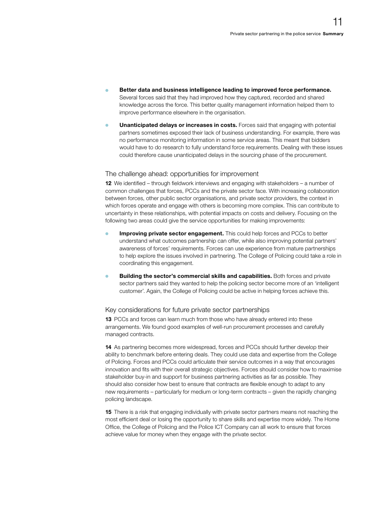- Better data and business intelligence leading to improved force performance. Several forces said that they had improved how they captured, recorded and shared knowledge across the force. This better quality management information helped them to improve performance elsewhere in the organisation.
- Unanticipated delays or increases in costs. Forces said that engaging with potential partners sometimes exposed their lack of business understanding. For example, there was no performance monitoring information in some service areas. This meant that bidders would have to do research to fully understand force requirements. Dealing with these issues could therefore cause unanticipated delays in the sourcing phase of the procurement.

# The challenge ahead: opportunities for improvement

12 We identified – through fieldwork interviews and engaging with stakeholders – a number of common challenges that forces, PCCs and the private sector face. With increasing collaboration between forces, other public sector organisations, and private sector providers, the context in which forces operate and engage with others is becoming more complex. This can contribute to uncertainty in these relationships, with potential impacts on costs and delivery. Focusing on the following two areas could give the service opportunities for making improvements:

- Improving private sector engagement. This could help forces and PCCs to better understand what outcomes partnership can offer, while also improving potential partners' awareness of forces' requirements. Forces can use experience from mature partnerships to help explore the issues involved in partnering. The College of Policing could take a role in coordinating this engagement.
- Building the sector's commercial skills and capabilities. Both forces and private sector partners said they wanted to help the policing sector become more of an 'intelligent customer'. Again, the College of Policing could be active in helping forces achieve this.

# Key considerations for future private sector partnerships

13 PCCs and forces can learn much from those who have already entered into these arrangements. We found good examples of well-run procurement processes and carefully managed contracts.

14 As partnering becomes more widespread, forces and PCCs should further develop their ability to benchmark before entering deals. They could use data and expertise from the College of Policing. Forces and PCCs could articulate their service outcomes in a way that encourages innovation and fits with their overall strategic objectives. Forces should consider how to maximise stakeholder buy-in and support for business partnering activities as far as possible. They should also consider how best to ensure that contracts are flexible enough to adapt to any new requirements – particularly for medium or long-term contracts – given the rapidly changing policing landscape.

15 There is a risk that engaging individually with private sector partners means not reaching the most efficient deal or losing the opportunity to share skills and expertise more widely. The Home Office, the College of Policing and the Police ICT Company can all work to ensure that forces achieve value for money when they engage with the private sector.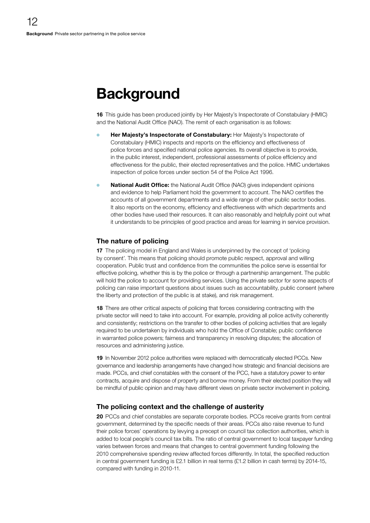# <span id="page-11-0"></span>**Background**

16 This guide has been produced jointly by Her Majesty's Inspectorate of Constabulary (HMIC) and the National Audit Office (NAO). The remit of each organisation is as follows:

- Her Majesty's Inspectorate of Constabulary: Her Majesty's Inspectorate of Constabulary (HMIC) inspects and reports on the efficiency and effectiveness of police forces and specified national police agencies. Its overall objective is to provide, in the public interest, independent, professional assessments of police efficiency and effectiveness for the public, their elected representatives and the police. HMIC undertakes inspection of police forces under section 54 of the Police Act 1996.
- **National Audit Office:** the National Audit Office (NAO) gives independent opinions and evidence to help Parliament hold the government to account. The NAO certifies the accounts of all government departments and a wide range of other public sector bodies. It also reports on the economy, efficiency and effectiveness with which departments and other bodies have used their resources. It can also reasonably and helpfully point out what it understands to be principles of good practice and areas for learning in service provision.

# The nature of policing

17 The policing model in England and Wales is underpinned by the concept of 'policing by consent'. This means that policing should promote public respect, approval and willing cooperation. Public trust and confidence from the communities the police serve is essential for effective policing, whether this is by the police or through a partnership arrangement. The public will hold the police to account for providing services. Using the private sector for some aspects of policing can raise important questions about issues such as accountability, public consent (where the liberty and protection of the public is at stake), and risk management.

18 There are other critical aspects of policing that forces considering contracting with the private sector will need to take into account. For example, providing all police activity coherently and consistently; restrictions on the transfer to other bodies of policing activities that are legally required to be undertaken by individuals who hold the Office of Constable; public confidence in warranted police powers; fairness and transparency in resolving disputes; the allocation of resources and administering justice.

19 In November 2012 police authorities were replaced with democratically elected PCCs. New governance and leadership arrangements have changed how strategic and financial decisions are made. PCCs, and chief constables with the consent of the PCC, have a statutory power to enter contracts, acquire and dispose of property and borrow money. From their elected position they will be mindful of public opinion and may have different views on private sector involvement in policing.

# The policing context and the challenge of austerity

20 PCCs and chief constables are separate corporate bodies. PCCs receive grants from central government, determined by the specific needs of their areas. PCCs also raise revenue to fund their police forces' operations by levying a precept on council tax collection authorities, which is added to local people's council tax bills. The ratio of central government to local taxpayer funding varies between forces and means that changes to central government funding following the 2010 comprehensive spending review affected forces differently. In total, the specified reduction in central government funding is £2.1 billion in real terms (£1.2 billion in cash terms) by 2014-15, compared with funding in 2010-11.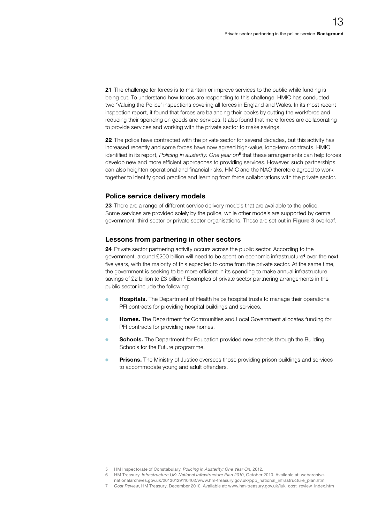21 The challenge for forces is to maintain or improve services to the public while funding is being cut. To understand how forces are responding to this challenge, HMIC has conducted two 'Valuing the Police' inspections covering all forces in England and Wales. In its most recent inspection report, it found that forces are balancing their books by cutting the workforce and reducing their spending on goods and services. It also found that more forces are collaborating to provide services and working with the private sector to make savings.

22 The police have contracted with the private sector for several decades, but this activity has increased recently and some forces have now agreed high-value, long-term contracts. HMIC identified in its report, *Policing in austerity: One year on*<sup>5</sup> that these arrangements can help forces develop new and more efficient approaches to providing services. However, such partnerships can also heighten operational and financial risks. HMIC and the NAO therefore agreed to work together to identify good practice and learning from force collaborations with the private sector.

# Police service delivery models

23 There are a range of different service delivery models that are available to the police. Some services are provided solely by the police, while other models are supported by central government, third sector or private sector organisations. These are set out in Figure 3 overleaf.

# Lessons from partnering in other sectors

24 Private sector partnering activity occurs across the public sector. According to the government, around £200 billion will need to be spent on economic infrastructure<sup>6</sup> over the next five years, with the majority of this expected to come from the private sector. At the same time, the government is seeking to be more efficient in its spending to make annual infrastructure savings of £2 billion to £3 billion.<sup>7</sup> Examples of private sector partnering arrangements in the public sector include the following:

- Hospitals. The Department of Health helps hospital trusts to manage their operational PFI contracts for providing hospital buildings and services.
- Homes. The Department for Communities and Local Government allocates funding for PFI contracts for providing new homes.
- **Schools.** The Department for Education provided new schools through the Building Schools for the Future programme.
- Prisons. The Ministry of Justice oversees those providing prison buildings and services to accommodate young and adult offenders.

<sup>5</sup> HM Inspectorate of Constabulary, *Policing in Austerity: One Year On*, 2012.

<sup>6</sup> HM Treasury, *Infrastructure UK: National Infrastructure Plan 2010*, October 2010. Available at: [webarchive.](http://webarchive.nationalarchives.gov.uk/20130129110402/www.hm-treasury.gov.uk/ppp_national_infrastructure_plan.htm)

[nationalarchives.gov.uk/20130129110402/www.hm-treasury.gov.uk/ppp\\_national\\_infrastructure\\_plan.htm](http://webarchive.nationalarchives.gov.uk/20130129110402/www.hm-treasury.gov.uk/ppp_national_infrastructure_plan.htm)

<sup>7</sup> *Cost Review*, HM Treasury, December 2010. Available at: [www.hm-treasury.gov.uk/iuk\\_cost\\_review\\_index.htm](https://www.gov.uk/government/publications/infrastructure-cost-review)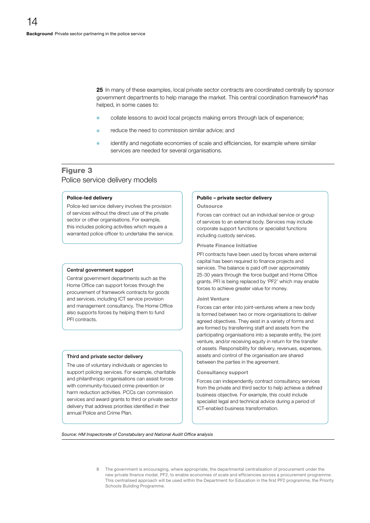25 In many of these examples, local private sector contracts are coordinated centrally by sponsor government departments to help manage the market. This central coordination framework<sup>8</sup> has helped, in some cases to:

- collate lessons to avoid local projects making errors through lack of experience;
- reduce the need to commission similar advice; and
- identify and negotiate economies of scale and efficiencies, for example where similar services are needed for several organisations.

# Figure 3 Police service delivery models

#### Police-led delivery

Police-led service delivery involves the provision of services without the direct use of the private sector or other organisations. For example, this includes policing activities which require a warranted police officer to undertake the service.

#### Central government support

Central government departments such as the Home Office can support forces through the procurement of framework contracts for goods and services, including ICT service provision and management consultancy. The Home Office also supports forces by helping them to fund PFI contracts.

#### Third and private sector delivery

The use of voluntary individuals or agencies to support policing services. For example, charitable and philanthropic organisations can assist forces with community-focused crime prevention or harm reduction activities. PCCs can commission services and award grants to third or private sector delivery that address priorities identified in their annual Police and Crime Plan.

#### Public – private sector delivery

#### **Outsource**

Forces can contract out an individual service or group of services to an external body. Services may include corporate support functions or specialist functions including custody services.

#### Private Finance Initiative

PFI contracts have been used by forces where external capital has been required to finance projects and services. The balance is paid off over approximately 25-30 years through the force budget and Home Office grants. PFI is being replaced by 'PF2' which may enable forces to achieve greater value for money.

#### Joint Venture

Forces can enter into joint-ventures where a new body is formed between two or more organisations to deliver agreed objectives. They exist in a variety of forms and are formed by transferring staff and assets from the participating organisations into a separate entity, the joint venture, and/or receiving equity in return for the transfer of assets. Responsibility for delivery, revenues, expenses, assets and control of the organisation are shared between the parties in the agreement.

#### Consultancy support

Forces can independently contract consultancy services from the private and third sector to help achieve a defined business objective. For example, this could include specialist legal and technical advice during a period of ICT-enabled business transformation.

**Source: HM Inspectorate of Constabulary and National Audit Office analysis** 

8 The government is encouraging, where appropriate, the departmental centralisation of procurement under the new private finance model, PF2, to enable economies of scale and efficiencies across a procurement programme. This centralised approach will be used within the Department for Education in the first PF2 programme, the Priority Schools Building Programme.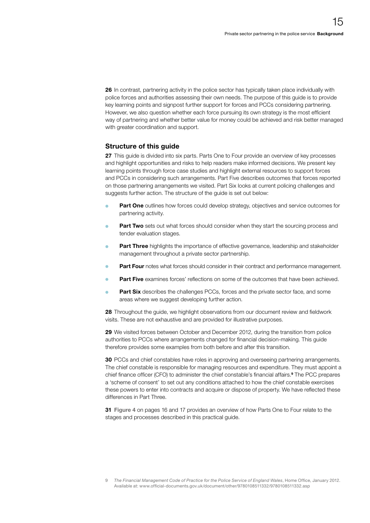26 In contrast, partnering activity in the police sector has typically taken place individually with police forces and authorities assessing their own needs. The purpose of this guide is to provide key learning points and signpost further support for forces and PCCs considering partnering. However, we also question whether each force pursuing its own strategy is the most efficient way of partnering and whether better value for money could be achieved and risk better managed with greater coordination and support.

# Structure of this guide

27 This guide is divided into six parts. Parts One to Four provide an overview of key processes and highlight opportunities and risks to help readers make informed decisions. We present key learning points through force case studies and highlight external resources to support forces and PCCs in considering such arrangements. Part Five describes outcomes that forces reported on those partnering arrangements we visited. Part Six looks at current policing challenges and suggests further action. The structure of the guide is set out below:

- Part One outlines how forces could develop strategy, objectives and service outcomes for partnering activity.
- Part Two sets out what forces should consider when they start the sourcing process and tender evaluation stages.
- Part Three highlights the importance of effective governance, leadership and stakeholder management throughout a private sector partnership.
- Part Four notes what forces should consider in their contract and performance management.
- **Part Five** examines forces' reflections on some of the outcomes that have been achieved.
- Part Six describes the challenges PCCs, forces and the private sector face, and some areas where we suggest developing further action.

28 Throughout the guide, we highlight observations from our document review and fieldwork visits. These are not exhaustive and are provided for illustrative purposes.

29 We visited forces between October and December 2012, during the transition from police authorities to PCCs where arrangements changed for financial decision-making. This guide therefore provides some examples from both before and after this transition.

30 PCCs and chief constables have roles in approving and overseeing partnering arrangements. The chief constable is responsible for managing resources and expenditure. They must appoint a chief finance officer (CFO) to administer the chief constable's financial affairs.<sup>9</sup> The PCC prepares a 'scheme of consent' to set out any conditions attached to how the chief constable exercises these powers to enter into contracts and acquire or dispose of property. We have reflected these differences in Part Three.

31 Figure 4 on pages 16 and 17 provides an overview of how Parts One to Four relate to the stages and processes described in this practical guide.

<sup>9</sup> *The Financial Management Code of Practice for the Police Service of England Wales*, Home Office, January 2012. Available at: [www.official-documents.gov.uk/document/other/9780108511332/9780108511332.asp](http://www.official-documents.gov.uk/document/other/9780108511332/9780108511332.asp)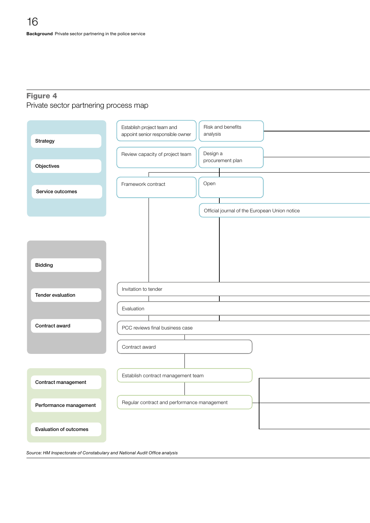# Figure 4 Private sector partnering process map



Source: HM Inspectorate of Constabulary and National Audit Office analysis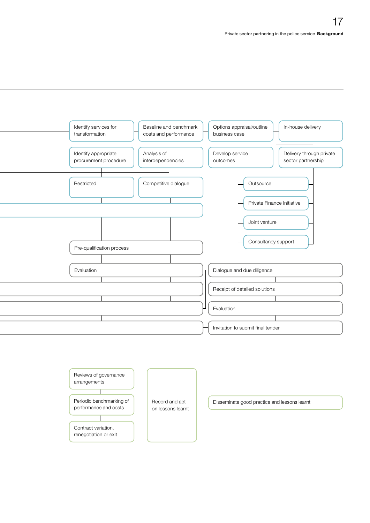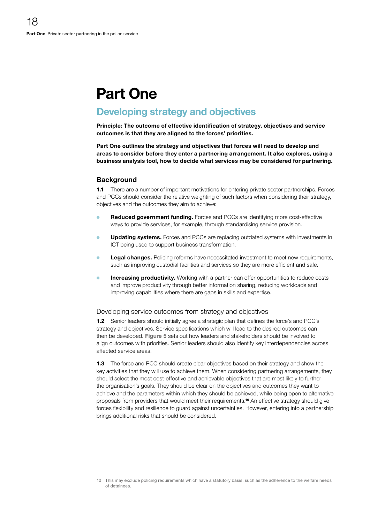# <span id="page-17-0"></span>Part One

# Developing strategy and objectives

Principle: The outcome of effective identification of strategy, objectives and service outcomes is that they are aligned to the forces' priorities.

Part One outlines the strategy and objectives that forces will need to develop and areas to consider before they enter a partnering arrangement. It also explores, using a business analysis tool, how to decide what services may be considered for partnering.

# **Background**

1.1 There are a number of important motivations for entering private sector partnerships. Forces and PCCs should consider the relative weighting of such factors when considering their strategy, objectives and the outcomes they aim to achieve:

- Reduced government funding. Forces and PCCs are identifying more cost-effective ways to provide services, for example, through standardising service provision.
- **Updating systems.** Forces and PCCs are replacing outdated systems with investments in ICT being used to support business transformation.
- Legal changes. Policing reforms have necessitated investment to meet new requirements, such as improving custodial facilities and services so they are more efficient and safe.
- Increasing productivity. Working with a partner can offer opportunities to reduce costs and improve productivity through better information sharing, reducing workloads and improving capabilities where there are gaps in skills and expertise.

# Developing service outcomes from strategy and objectives

1.2 Senior leaders should initially agree a strategic plan that defines the force's and PCC's strategy and objectives. Service specifications which will lead to the desired outcomes can then be developed. Figure 5 sets out how leaders and stakeholders should be involved to align outcomes with priorities. Senior leaders should also identify key interdependencies across affected service areas.

1.3 The force and PCC should create clear objectives based on their strategy and show the key activities that they will use to achieve them. When considering partnering arrangements, they should select the most cost-effective and achievable objectives that are most likely to further the organisation's goals. They should be clear on the objectives and outcomes they want to achieve and the parameters within which they should be achieved, while being open to alternative proposals from providers that would meet their requirements.10 An effective strategy should give forces flexibility and resilience to guard against uncertainties. However, entering into a partnership brings additional risks that should be considered.

<sup>10</sup> This may exclude policing requirements which have a statutory basis, such as the adherence to the welfare needs of detainees.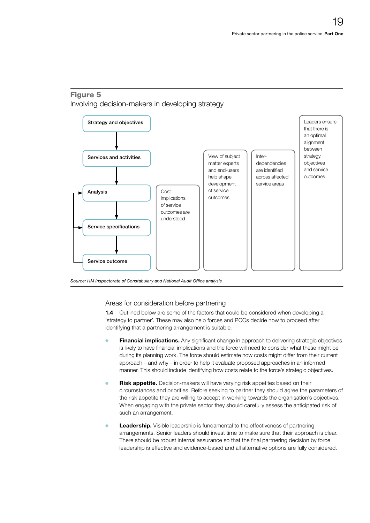# Figure 5 Involving decision-makers in developing strategy



Source: HM Inspectorate of Constabulary and National Audit Office analysis

# Areas for consideration before partnering

**1.4** Outlined below are some of the factors that could be considered when developing a 'strategy to partner'. These may also help forces and PCCs decide how to proceed after identifying that a partnering arrangement is suitable:

- **Financial implications.** Any significant change in approach to delivering strategic objectives is likely to have financial implications and the force will need to consider what these might be during its planning work. The force should estimate how costs might differ from their current approach – and why – in order to help it evaluate proposed approaches in an informed manner. This should include identifying how costs relate to the force's strategic objectives.
- **Risk appetite.** Decision-makers will have varying risk appetites based on their circumstances and priorities. Before seeking to partner they should agree the parameters of the risk appetite they are willing to accept in working towards the organisation's objectives. When engaging with the private sector they should carefully assess the anticipated risk of such an arrangement.
- **Concertship.** Visible leadership is fundamental to the effectiveness of partnering arrangements. Senior leaders should invest time to make sure that their approach is clear. There should be robust internal assurance so that the final partnering decision by force leadership is effective and evidence-based and all alternative options are fully considered.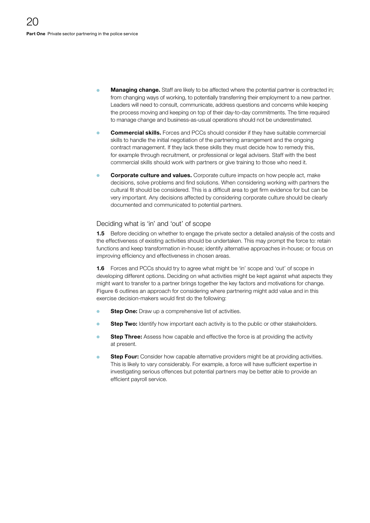- **Managing change.** Staff are likely to be affected where the potential partner is contracted in; from changing ways of working, to potentially transferring their employment to a new partner. Leaders will need to consult, communicate, address questions and concerns while keeping the process moving and keeping on top of their day-to-day commitments. The time required to manage change and business-as-usual operations should not be underestimated.
- **Commercial skills.** Forces and PCCs should consider if they have suitable commercial skills to handle the initial negotiation of the partnering arrangement and the ongoing contract management. If they lack these skills they must decide how to remedy this, for example through recruitment, or professional or legal advisers. Staff with the best commercial skills should work with partners or give training to those who need it.
- **Corporate culture and values.** Corporate culture impacts on how people act, make decisions, solve problems and find solutions. When considering working with partners the cultural fit should be considered. This is a difficult area to get firm evidence for but can be very important. Any decisions affected by considering corporate culture should be clearly documented and communicated to potential partners.

# Deciding what is 'in' and 'out' of scope

**1.5** Before deciding on whether to engage the private sector a detailed analysis of the costs and the effectiveness of existing activities should be undertaken. This may prompt the force to: retain functions and keep transformation in-house; identify alternative approaches in-house; or focus on improving efficiency and effectiveness in chosen areas.

**1.6** Forces and PCCs should try to agree what might be 'in' scope and 'out' of scope in developing different options. Deciding on what activities might be kept against what aspects they might want to transfer to a partner brings together the key factors and motivations for change. Figure 6 outlines an approach for considering where partnering might add value and in this exercise decision-makers would first do the following:

- **Step One:** Draw up a comprehensive list of activities.
- Step Two: Identify how important each activity is to the public or other stakeholders.
- Step Three: Assess how capable and effective the force is at providing the activity at present.
- Step Four: Consider how capable alternative providers might be at providing activities. This is likely to vary considerably. For example, a force will have sufficient expertise in investigating serious offences but potential partners may be better able to provide an efficient payroll service.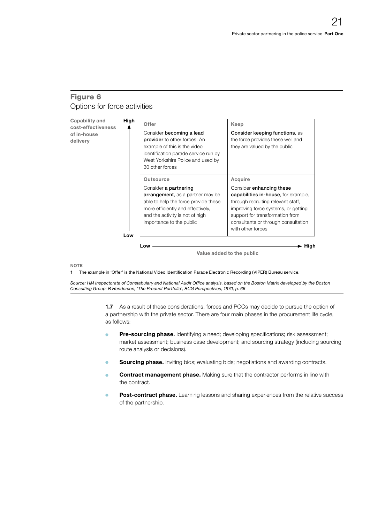# Figure 6 Options for force activities

| Capability and<br>cost-effectiveness<br>of in-house<br>delivery | High | Offer<br>Consider becoming a lead<br>provider to other forces. An<br>example of this is the video<br>identification parade service run by<br>West Yorkshire Police and used by<br>30 other forces                                 | Keep<br>Consider keeping functions, as<br>the force provides these well and<br>they are valued by the public                                                                                                                                           |
|-----------------------------------------------------------------|------|-----------------------------------------------------------------------------------------------------------------------------------------------------------------------------------------------------------------------------------|--------------------------------------------------------------------------------------------------------------------------------------------------------------------------------------------------------------------------------------------------------|
|                                                                 | Low  | <b>Outsource</b><br>Consider a partnering<br><b>arrangement</b> , as a partner may be<br>able to help the force provide these<br>more efficiently and effectively,<br>and the activity is not of high<br>importance to the public | Acquire<br>Consider enhancing these<br>capabilities in-house, for example,<br>through recruiting relevant staff,<br>improving force systems, or getting<br>support for transformation from<br>consultants or through consultation<br>with other forces |

Value added to the public

**NOTE** 

1 The example in 'Offer' is the National Video Identification Parade Electronic Recording (VIPER) Bureau service.

Source: HM Inspectorate of Constabulary and National Audit Office analysis, based on the Boston Matrix developed by the Boston *Consulting Group: B Henderson, 'The Product Portfolio', BCG Perspectives, 1970, p. 66* 

> 1.7 As a result of these considerations, forces and PCCs may decide to pursue the option of a partnership with the private sector. There are four main phases in the procurement life cycle, as follows:

- **Pre-sourcing phase.** Identifying a need; developing specifications; risk assessment; market assessment; business case development; and sourcing strategy (including sourcing route analysis or decisions).
- Sourcing phase. Inviting bids; evaluating bids; negotiations and awarding contracts.
- Contract management phase. Making sure that the contractor performs in line with the contract.
- **Post-contract phase.** Learning lessons and sharing experiences from the relative success of the partnership.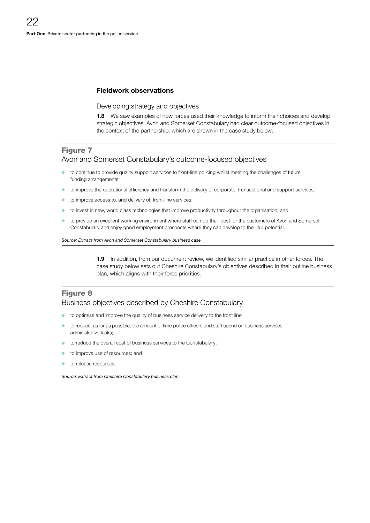# Fieldwork observations

Developing strategy and objectives

**1.8** We saw examples of how forces used their knowledge to inform their choices and develop strategic objectives. Avon and Somerset Constabulary had clear outcome-focused objectives in the context of the partnership, which are shown in the case study below:

# Figure 7

# Avon and Somerset Constabulary's outcome-focused objectives

- to continue to provide quality support services to front-line policing whilst meeting the challenges of future funding arrangements;
- to improve the operational efficiency and transform the delivery of corporate, transactional and support services;
- to improve access to, and delivery of, front-line services;
- to invest in new, world class technologies that improve productivity throughout the organisation; and
- <sup>O</sup> to provide an excellent working environment where staff can do their best for the customers of Avon and Somerset Constabulary and enjoy good employment prospects where they can develop to their full potential.

*Source: Extract from Avon and Somerset Constabulary business case*

**1.9** In addition, from our document review, we identified similar practice in other forces. The case study below sets out Cheshire Constabulary's objectives described in their outline business plan, which aligns with their force priorities:

# Figure 8

# Business objectives described by Cheshire Constabulary

- to optimise and improve the quality of business service delivery to the front line;
- to reduce, as far as possible, the amount of time police officers and staff spend on business services administrative tasks;
- to reduce the overall cost of business services to the Constabulary;
- to improve use of resources; and
- to release resources.

*Source: Extract from Cheshire Constabulary business plan*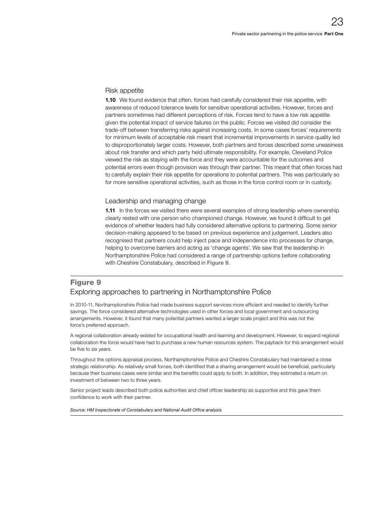#### Risk appetite

1.10 We found evidence that often, forces had carefully considered their risk appetite, with awareness of reduced tolerance levels for sensitive operational activities. However, forces and partners sometimes had different perceptions of risk. Forces tend to have a low risk appetite given the potential impact of service failures on the public. Forces we visited did consider the trade-off between transferring risks against increasing costs. In some cases forces' requirements for minimum levels of acceptable risk meant that incremental improvements in service quality led to disproportionately larger costs. However, both partners and forces described some uneasiness about risk transfer and which party held ultimate responsibility. For example, Cleveland Police viewed the risk as staying with the force and they were accountable for the outcomes and potential errors even though provision was through their partner. This meant that often forces had to carefully explain their risk appetite for operations to potential partners. This was particularly so for more sensitive operational activities, such as those in the force control room or in custody.

# Leadership and managing change

**1.11** In the forces we visited there were several examples of strong leadership where ownership clearly rested with one person who championed change. However, we found it difficult to get evidence of whether leaders had fully considered alternative options to partnering. Some senior decision-making appeared to be based on previous experience and judgement. Leaders also recognised that partners could help inject pace and independence into processes for change, helping to overcome barriers and acting as 'change agents'. We saw that the leadership in Northamptonshire Police had considered a range of partnership options before collaborating with Cheshire Constabulary, described in Figure 9.

# Figure 9 Exploring approaches to partnering in Northamptonshire Police

In 2010-11, Northamptonshire Police had made business support services more efficient and needed to identify further savings. The force considered alternative technologies used in other forces and local government and outsourcing arrangements. However, it found that many potential partners wanted a larger scale project and this was not the force's preferred approach.

A regional collaboration already existed for occupational health and learning and development. However, to expand regional collaboration the force would have had to purchase a new human resources system. The payback for this arrangement would be five to six years.

Throughout the options appraisal process, Northamptonshire Police and Cheshire Constabulary had maintained a close strategic relationship. As relatively small forces, both identified that a sharing arrangement would be beneficial, particularly because their business cases were similar and the benefits could apply to both. In addition, they estimated a return on investment of between two to three years.

Senior project leads described both police authorities and chief officer leadership as supportive and this gave them confidence to work with their partner.

**Source: HM Inspectorate of Constabulary and National Audit Office analysis**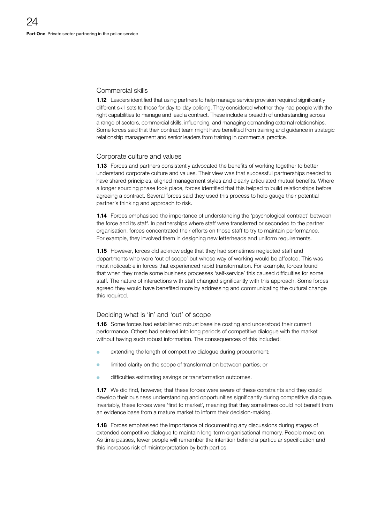# Commercial skills

1.12 Leaders identified that using partners to help manage service provision required significantly different skill sets to those for day-to-day policing. They considered whether they had people with the right capabilities to manage and lead a contract. These include a breadth of understanding across a range of sectors, commercial skills, influencing, and managing demanding external relationships. Some forces said that their contract team might have benefited from training and guidance in strategic relationship management and senior leaders from training in commercial practice.

### Corporate culture and values

1.13 Forces and partners consistently advocated the benefits of working together to better understand corporate culture and values. Their view was that successful partnerships needed to have shared principles, aligned management styles and clearly articulated mutual benefits. Where a longer sourcing phase took place, forces identified that this helped to build relationships before agreeing a contract. Several forces said they used this process to help gauge their potential partner's thinking and approach to risk.

**1.14** Forces emphasised the importance of understanding the 'psychological contract' between the force and its staff. In partnerships where staff were transferred or seconded to the partner organisation, forces concentrated their efforts on those staff to try to maintain performance. For example, they involved them in designing new letterheads and uniform requirements.

**1.15** However, forces did acknowledge that they had sometimes neglected staff and departments who were 'out of scope' but whose way of working would be affected. This was most noticeable in forces that experienced rapid transformation. For example, forces found that when they made some business processes 'self-service' this caused difficulties for some staff. The nature of interactions with staff changed significantly with this approach. Some forces agreed they would have benefited more by addressing and communicating the cultural change this required.

### Deciding what is 'in' and 'out' of scope

1.16 Some forces had established robust baseline costing and understood their current performance. Others had entered into long periods of competitive dialogue with the market without having such robust information. The consequences of this included:

- extending the length of competitive dialogue during procurement;
- limited clarity on the scope of transformation between parties; or
- difficulties estimating savings or transformation outcomes.

**1.17** We did find, however, that these forces were aware of these constraints and they could develop their business understanding and opportunities significantly during competitive dialogue. Invariably, these forces were 'first to market', meaning that they sometimes could not benefit from an evidence base from a mature market to inform their decision-making.

**1.18** Forces emphasised the importance of documenting any discussions during stages of extended competitive dialogue to maintain long-term organisational memory. People move on. As time passes, fewer people will remember the intention behind a particular specification and this increases risk of misinterpretation by both parties.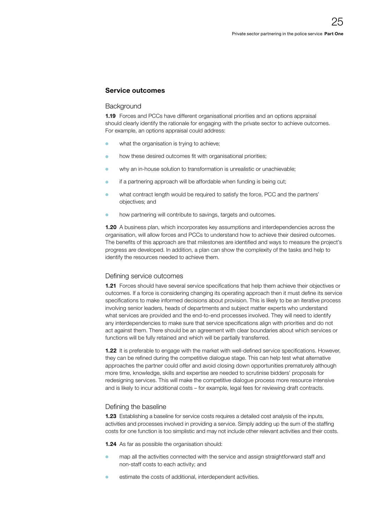# Service outcomes

#### **Background**

1.19 Forces and PCCs have different organisational priorities and an options appraisal should clearly identify the rationale for engaging with the private sector to achieve outcomes. For example, an options appraisal could address:

- **o** what the organisation is trying to achieve;
- **o** how these desired outcomes fit with organisational priorities;
- why an in-house solution to transformation is unrealistic or unachievable;
- $\bullet$  if a partnering approach will be affordable when funding is being cut;
- <sup>O</sup> what contract length would be required to satisfy the force, PCC and the partners' objectives; and
- how partnering will contribute to savings, targets and outcomes.

1.20 A business plan, which incorporates key assumptions and interdependencies across the organisation, will allow forces and PCCs to understand how to achieve their desired outcomes. The benefits of this approach are that milestones are identified and ways to measure the project's progress are developed. In addition, a plan can show the complexity of the tasks and help to identify the resources needed to achieve them.

### Defining service outcomes

**1.21** Forces should have several service specifications that help them achieve their objectives or outcomes. If a force is considering changing its operating approach then it must define its service specifications to make informed decisions about provision. This is likely to be an iterative process involving senior leaders, heads of departments and subject matter experts who understand what services are provided and the end-to-end processes involved. They will need to identify any interdependencies to make sure that service specifications align with priorities and do not act against them. There should be an agreement with clear boundaries about which services or functions will be fully retained and which will be partially transferred.

1.22 It is preferable to engage with the market with well-defined service specifications. However, they can be refined during the competitive dialogue stage. This can help test what alternative approaches the partner could offer and avoid closing down opportunities prematurely although more time, knowledge, skills and expertise are needed to scrutinise bidders' proposals for redesigning services. This will make the competitive dialogue process more resource intensive and is likely to incur additional costs – for example, legal fees for reviewing draft contracts.

### Defining the baseline

1.23 Establishing a baseline for service costs requires a detailed cost analysis of the inputs, activities and processes involved in providing a service. Simply adding up the sum of the staffing costs for one function is too simplistic and may not include other relevant activities and their costs.

**1.24** As far as possible the organisation should:

- map all the activities connected with the service and assign straightforward staff and non-staff costs to each activity; and
- estimate the costs of additional, interdependent activities.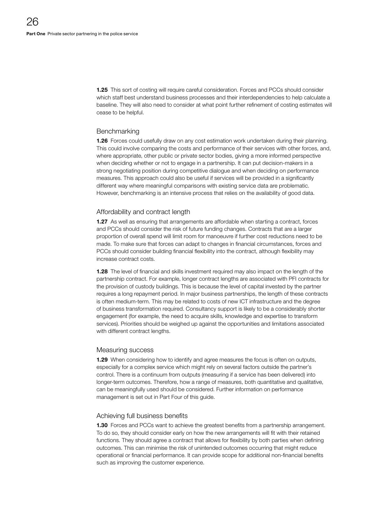**1.25** This sort of costing will require careful consideration. Forces and PCCs should consider which staff best understand business processes and their interdependencies to help calculate a baseline. They will also need to consider at what point further refinement of costing estimates will cease to be helpful.

## **Benchmarking**

**1.26** Forces could usefully draw on any cost estimation work undertaken during their planning. This could involve comparing the costs and performance of their services with other forces, and, where appropriate, other public or private sector bodies, giving a more informed perspective when deciding whether or not to engage in a partnership. It can put decision-makers in a strong negotiating position during competitive dialogue and when deciding on performance measures. This approach could also be useful if services will be provided in a significantly different way where meaningful comparisons with existing service data are problematic. However, benchmarking is an intensive process that relies on the availability of good data.

# Affordability and contract length

1.27 As well as ensuring that arrangements are affordable when starting a contract, forces and PCCs should consider the risk of future funding changes. Contracts that are a larger proportion of overall spend will limit room for manoeuvre if further cost reductions need to be made. To make sure that forces can adapt to changes in financial circumstances, forces and PCCs should consider building financial flexibility into the contract, although flexibility may increase contract costs.

**1.28** The level of financial and skills investment required may also impact on the length of the partnership contract. For example, longer contract lengths are associated with PFI contracts for the provision of custody buildings. This is because the level of capital invested by the partner requires a long repayment period. In major business partnerships, the length of these contracts is often medium-term. This may be related to costs of new ICT infrastructure and the degree of business transformation required. Consultancy support is likely to be a considerably shorter engagement (for example, the need to acquire skills, knowledge and expertise to transform services). Priorities should be weighed up against the opportunities and limitations associated with different contract lengths.

### Measuring success

**1.29** When considering how to identify and agree measures the focus is often on outputs, especially for a complex service which might rely on several factors outside the partner's control. There is a continuum from outputs (measuring if a service has been delivered) into longer-term outcomes. Therefore, how a range of measures, both quantitative and qualitative, can be meaningfully used should be considered. Further information on performance management is set out in Part Four of this guide.

### Achieving full business benefits

1.30 Forces and PCCs want to achieve the greatest benefits from a partnership arrangement. To do so, they should consider early on how the new arrangements will fit with their retained functions. They should agree a contract that allows for flexibility by both parties when defining outcomes. This can minimise the risk of unintended outcomes occurring that might reduce operational or financial performance. It can provide scope for additional non-financial benefits such as improving the customer experience.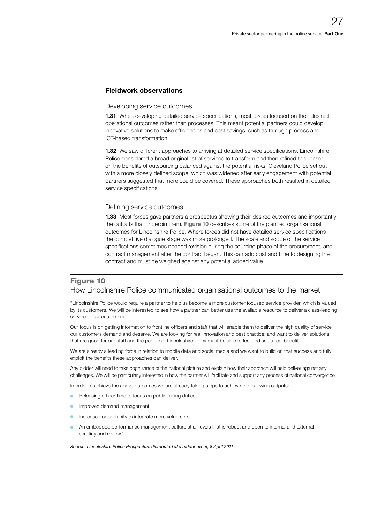# Fieldwork observations

#### Developing service outcomes

**1.31** When developing detailed service specifications, most forces focused on their desired operational outcomes rather than processes. This meant potential partners could develop innovative solutions to make efficiencies and cost savings, such as through process and ICT-based transformation.

**1.32** We saw different approaches to arriving at detailed service specifications. Lincolnshire Police considered a broad original list of services to transform and then refined this, based on the benefits of outsourcing balanced against the potential risks. Cleveland Police set out with a more closely defined scope, which was widened after early engagement with potential partners suggested that more could be covered. These approaches both resulted in detailed service specifications.

#### Defining service outcomes

**1.33** Most forces gave partners a prospectus showing their desired outcomes and importantly the outputs that underpin them. Figure 10 describes some of the planned organisational outcomes for Lincolnshire Police. Where forces did not have detailed service specifications the competitive dialogue stage was more prolonged. The scale and scope of the service specifications sometimes needed revision during the sourcing phase of the procurement, and contract management after the contract began. This can add cost and time to designing the contract and must be weighed against any potential added value.

# Figure 10 How Lincolnshire Police communicated organisational outcomes to the market

"Lincolnshire Police would require a partner to help us become a more customer focused service provider, which is valued by its customers. We will be interested to see how a partner can better use the available resource to deliver a class-leading service to our customers.

Our focus is on getting information to frontline officers and staff that will enable them to deliver the high quality of service our customers demand and deserve. We are looking for real innovation and best practice; and want to deliver solutions that are good for our staff and the people of Lincolnshire. They must be able to feel and see a real benefit.

We are already a leading force in relation to mobile data and social media and we want to build on that success and fully exploit the benefits these approaches can deliver.

Any bidder will need to take cognisance of the national picture and explain how their approach will help deliver against any challenges. We will be particularly interested in how the partner will facilitate and support any process of national convergence.

In order to achieve the above outcomes we are already taking steps to achieve the following outputs:

- Releasing officer time to focus on public facing duties.
- Improved demand management.
- Increased opportunity to integrate more volunteers.
- An embedded performance management culture at all levels that is robust and open to internal and external scrutiny and review."

*Source: Lincolnshire Police Prospectus, distributed at a bidder event, 8 April 2011*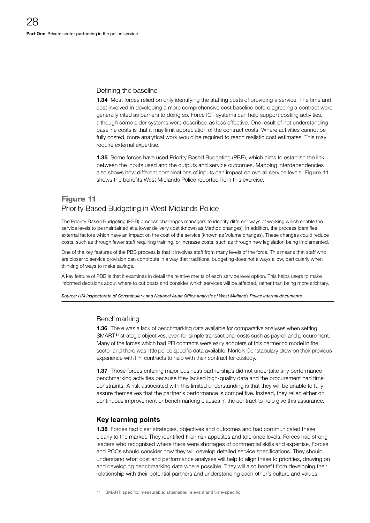# Defining the baseline

**1.34** Most forces relied on only identifying the staffing costs of providing a service. The time and cost involved in developing a more comprehensive cost baseline before agreeing a contract were generally cited as barriers to doing so. Force ICT systems can help support costing activities, although some older systems were described as less effective. One result of not understanding baseline costs is that it may limit appreciation of the contract costs. Where activities cannot be fully costed, more analytical work would be required to reach realistic cost estimates. This may require external expertise.

**1.35** Some forces have used Priority Based Budgeting (PBB), which aims to establish the link between the inputs used and the outputs and service outcomes. Mapping interdependencies also shows how different combinations of inputs can impact on overall service levels. Figure 11 shows the benefits West Midlands Police reported from this exercise.

# Figure 11 Priority Based Budgeting in West Midlands Police

The Priority Based Budgeting (PBB) process challenges managers to identify different ways of working which enable the service levels to be maintained at a lower delivery cost (known as Method changes). In addition, the process identifies external factors which have an impact on the cost of the service (known as Volume changes). These changes could reduce costs, such as through fewer staff requiring training, or increase costs, such as through new legislation being implemented.

One of the key features of the PBB process is that it involves staff from many levels of the force. This means that staff who are closer to service provision can contribute in a way that traditional budgeting does not always allow, particularly when thinking of ways to make savings.

A key feature of PBB is that it examines in detail the relative merits of each service level option. This helps users to make informed decisions about where to cut costs and consider which services will be affected, rather than being more arbitrary.

Source: HM Inspectorate of Constabulary and National Audit Office analysis of West Midlands Police internal documents

### **Benchmarking**

**1.36** There was a lack of benchmarking data available for comparative analyses when setting SMART<sup>11</sup> strategic objectives, even for simple transactional costs such as payroll and procurement. Many of the forces which had PFI contracts were early adopters of this partnering model in the sector and there was little police specific data available. Norfolk Constabulary drew on their previous experience with PFI contracts to help with their contract for custody.

**1.37** Those forces entering major business partnerships did not undertake any performance benchmarking activities because they lacked high-quality data and the procurement had time constraints. A risk associated with this limited understanding is that they will be unable to fully assure themselves that the partner's performance is competitive. Instead, they relied either on continuous improvement or benchmarking clauses in the contract to help give this assurance.

### Key learning points

**1.38** Forces had clear strategies, objectives and outcomes and had communicated these clearly to the market. They identified their risk appetites and tolerance levels. Forces had strong leaders who recognised where there were shortages of commercial skills and expertise. Forces and PCCs should consider how they will develop detailed service specifications. They should understand what cost and performance analyses will help to align these to priorities, drawing on and developing benchmarking data where possible. They will also benefit from developing their relationship with their potential partners and understanding each other's culture and values.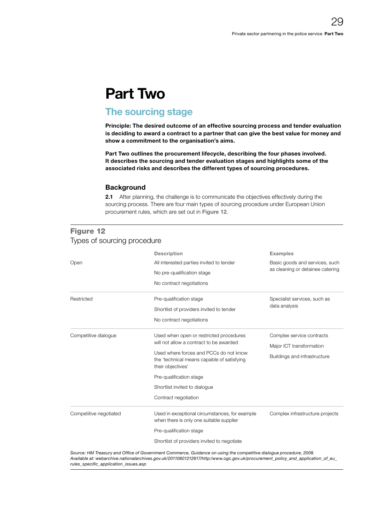# <span id="page-28-0"></span>Part Two

# The sourcing stage

Principle: The desired outcome of an effective sourcing process and tender evaluation is deciding to award a contract to a partner that can give the best value for money and show a commitment to the organisation's aims.

Part Two outlines the procurement lifecycle, describing the four phases involved. It describes the sourcing and tender evaluation stages and highlights some of the associated risks and describes the different types of sourcing procedures.

# **Background**

2.1 After planning, the challenge is to communicate the objectives effectively during the sourcing process. There are four main types of sourcing procedure under European Union procurement rules, which are set out in Figure 12.

| Types of sourcing procedure |                                                                                                                                                                                                                                                                                     |                                                                                       |  |  |
|-----------------------------|-------------------------------------------------------------------------------------------------------------------------------------------------------------------------------------------------------------------------------------------------------------------------------------|---------------------------------------------------------------------------------------|--|--|
| Open                        | <b>Description</b><br>All interested parties invited to tender<br>No pre-qualification stage<br>No contract negotiations                                                                                                                                                            | <b>Examples</b><br>Basic goods and services, such<br>as cleaning or detainee catering |  |  |
| Restricted                  | Pre-qualification stage<br>Shortlist of providers invited to tender<br>No contract negotiations                                                                                                                                                                                     | Specialist services, such as<br>data analysis                                         |  |  |
| Competitive dialogue        | Used when open or restricted procedures<br>will not allow a contract to be awarded<br>Used where forces and PCCs do not know<br>the 'technical means capable of satisfying<br>their objectives'<br>Pre-qualification stage<br>Shortlist invited to dialoque<br>Contract negotiation | Complex service contracts<br>Major ICT transformation<br>Buildings and infrastructure |  |  |
| Competitive negotiated      | Used in exceptional circumstances, for example<br>when there is only one suitable supplier<br>Pre-qualification stage<br>Shortlist of providers invited to negotiate                                                                                                                | Complex infrastructure projects                                                       |  |  |

# Figure 12

Source: HM Treasury and Office of Government Commerce, Guidance on using the competitive dialogue procedure, 2008. *[Available at: webarchive.nationalarchives.gov.uk/20110601212617/http:/www.ogc.gov.uk/procurement\\_policy\\_and\\_application\\_of\\_eu\\_](http://webarchive.nationalarchives.gov.uk/20110601212617/http:/www.ogc.gov.uk/procurement_policy_and_application_of_eu_rules_specific_application_issues.asp) rules\_specifi c\_application\_issues.asp*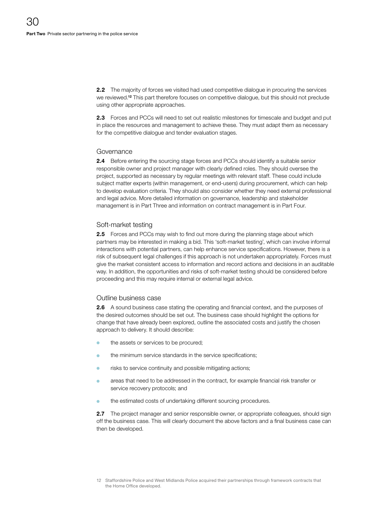**2.2** The majority of forces we visited had used competitive dialogue in procuring the services we reviewed.<sup>12</sup> This part therefore focuses on competitive dialogue, but this should not preclude using other appropriate approaches.

2.3 Forces and PCCs will need to set out realistic milestones for timescale and budget and put in place the resources and management to achieve these. They must adapt them as necessary for the competitive dialogue and tender evaluation stages.

### Governance

2.4 Before entering the sourcing stage forces and PCCs should identify a suitable senior responsible owner and project manager with clearly defined roles. They should oversee the project, supported as necessary by regular meetings with relevant staff. These could include subject matter experts (within management, or end-users) during procurement, which can help to develop evaluation criteria. They should also consider whether they need external professional and legal advice. More detailed information on governance, leadership and stakeholder management is in Part Three and information on contract management is in Part Four.

# Soft-market testing

2.5 Forces and PCCs may wish to find out more during the planning stage about which partners may be interested in making a bid. This 'soft-market testing', which can involve informal interactions with potential partners, can help enhance service specifications. However, there is a risk of subsequent legal challenges if this approach is not undertaken appropriately. Forces must give the market consistent access to information and record actions and decisions in an auditable way. In addition, the opportunities and risks of soft-market testing should be considered before proceeding and this may require internal or external legal advice.

#### Outline business case

**2.6** A sound business case stating the operating and financial context, and the purposes of the desired outcomes should be set out. The business case should highlight the options for change that have already been explored, outline the associated costs and justify the chosen approach to delivery. It should describe:

- the assets or services to be procured;
- the minimum service standards in the service specifications;
- risks to service continuity and possible mitigating actions;
- areas that need to be addressed in the contract, for example financial risk transfer or service recovery protocols; and
- the estimated costs of undertaking different sourcing procedures.

2.7 The project manager and senior responsible owner, or appropriate colleagues, should sign off the business case. This will clearly document the above factors and a final business case can then be developed.

<sup>12</sup> Staffordshire Police and West Midlands Police acquired their partnerships through framework contracts that the Home Office developed.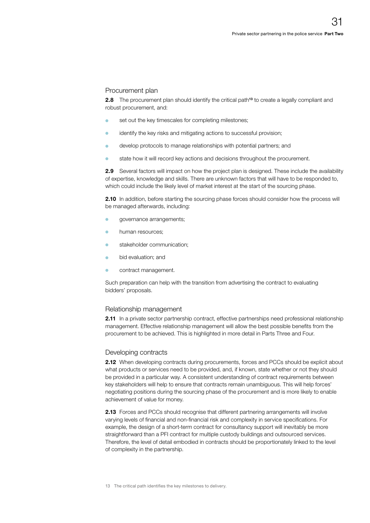#### Procurement plan

2.8 The procurement plan should identify the critical path<sup>13</sup> to create a legally compliant and robust procurement, and:

- o set out the key timescales for completing milestones;
- <sup>O</sup> identify the key risks and mitigating actions to successful provision;
- <sup>O</sup> develop protocols to manage relationships with potential partners; and
- <sup>O</sup> state how it will record key actions and decisions throughout the procurement.

2.9 Several factors will impact on how the project plan is designed. These include the availability of expertise, knowledge and skills. There are unknown factors that will have to be responded to, which could include the likely level of market interest at the start of the sourcing phase.

**2.10** In addition, before starting the sourcing phase forces should consider how the process will be managed afterwards, including:

- governance arrangements;
- human resources;
- **•** stakeholder communication;
- **o** bid evaluation; and
- contract management.

Such preparation can help with the transition from advertising the contract to evaluating bidders' proposals.

#### Relationship management

2.11 In a private sector partnership contract, effective partnerships need professional relationship management. Effective relationship management will allow the best possible benefits from the procurement to be achieved. This is highlighted in more detail in Parts Three and Four.

#### Developing contracts

2.12 When developing contracts during procurements, forces and PCCs should be explicit about what products or services need to be provided, and, if known, state whether or not they should be provided in a particular way. A consistent understanding of contract requirements between key stakeholders will help to ensure that contracts remain unambiguous. This will help forces' negotiating positions during the sourcing phase of the procurement and is more likely to enable achievement of value for money.

2.13 Forces and PCCs should recognise that different partnering arrangements will involve varying levels of financial and non-financial risk and complexity in service specifications. For example, the design of a short-term contract for consultancy support will inevitably be more straightforward than a PFI contract for multiple custody buildings and outsourced services. Therefore, the level of detail embodied in contracts should be proportionately linked to the level of complexity in the partnership.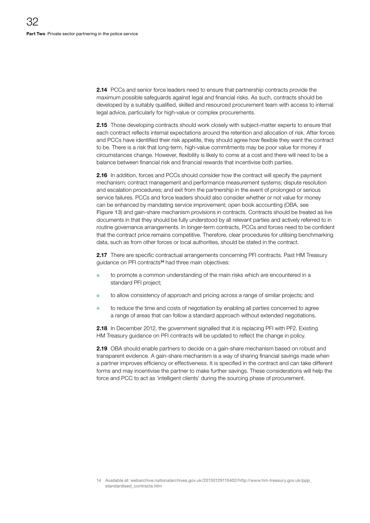**2.14** PCCs and senior force leaders need to ensure that partnership contracts provide the maximum possible safeguards against legal and financial risks. As such, contracts should be developed by a suitably qualified, skilled and resourced procurement team with access to internal legal advice, particularly for high-value or complex procurements.

2.15 Those developing contracts should work closely with subject-matter experts to ensure that each contract reflects internal expectations around the retention and allocation of risk. After forces and PCCs have identified their risk appetite, they should agree how flexible they want the contract to be. There is a risk that long-term, high-value commitments may be poor value for money if circumstances change. However, flexibility is likely to come at a cost and there will need to be a balance between financial risk and financial rewards that incentivise both parties.

**2.16** In addition, forces and PCCs should consider how the contract will specify the payment mechanism; contract management and performance measurement systems; dispute resolution and escalation procedures; and exit from the partnership in the event of prolonged or serious service failures. PCCs and force leaders should also consider whether or not value for money can be enhanced by mandating service improvement; open book accounting (OBA, see Figure 13) and gain-share mechanism provisions in contracts. Contracts should be treated as live documents in that they should be fully understood by all relevant parties and actively referred to in routine governance arrangements. In longer-term contracts, PCCs and forces need to be confident that the contract price remains competitive. Therefore, clear procedures for utilising benchmarking data, such as from other forces or local authorities, should be stated in the contract.

2.17 There are specific contractual arrangements concerning PFI contracts. Past HM Treasury guidance on PFI contracts<sup>14</sup> had three main objectives:

- to promote a common understanding of the main risks which are encountered in a standard PFI project;
- to allow consistency of approach and pricing across a range of similar projects; and
- to reduce the time and costs of negotiation by enabling all parties concerned to agree a range of areas that can follow a standard approach without extended negotiations.

2.18 In December 2012, the government signalled that it is replacing PFI with PF2. Existing HM Treasury guidance on PFI contracts will be updated to reflect the change in policy.

**2.19** OBA should enable partners to decide on a gain-share mechanism based on robust and transparent evidence. A gain-share mechanism is a way of sharing financial savings made when a partner improves efficiency or effectiveness. It is specified in the contract and can take different forms and may incentivise the partner to make further savings. These considerations will help the force and PCC to act as 'intelligent clients' during the sourcing phase of procurement.

<sup>14</sup> Available at: [webarchive.nationalarchives.gov.uk/20130129110402/http://www.hm-treasury.gov.uk/ppp\\_](http://webarchive.nationalarchives.gov.uk/20130129110402/http://www.hm-treasury.gov.uk/ppp_standardised_contracts.htm) [standardised\\_contracts.htm](http://webarchive.nationalarchives.gov.uk/20130129110402/http://www.hm-treasury.gov.uk/ppp_standardised_contracts.htm)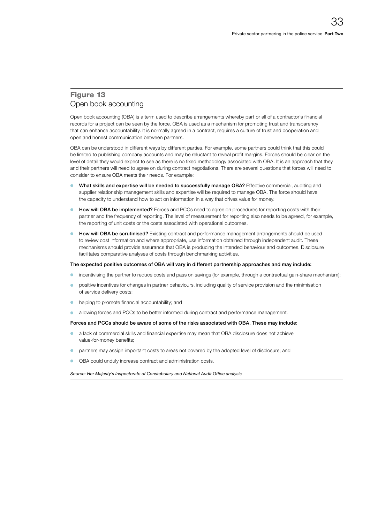# Figure 13 Open book accounting

Open book accounting (OBA) is a term used to describe arrangements whereby part or all of a contractor's financial records for a project can be seen by the force. OBA is used as a mechanism for promoting trust and transparency that can enhance accountability. It is normally agreed in a contract, requires a culture of trust and cooperation and open and honest communication between partners.

OBA can be understood in different ways by different parties. For example, some partners could think that this could be limited to publishing company accounts and may be reluctant to reveal profit margins. Forces should be clear on the level of detail they would expect to see as there is no fixed methodology associated with OBA. It is an approach that they and their partners will need to agree on during contract negotiations. There are several questions that forces will need to consider to ensure OBA meets their needs. For example:

- <sup>O</sup> What skills and expertise will be needed to successfully manage OBA? Effective commercial, auditing and supplier relationship management skills and expertise will be required to manage OBA. The force should have the capacity to understand how to act on information in a way that drives value for money.
- How will OBA be implemented? Forces and PCCs need to agree on procedures for reporting costs with their partner and the frequency of reporting. The level of measurement for reporting also needs to be agreed, for example, the reporting of unit costs or the costs associated with operational outcomes.
- How will OBA be scrutinised? Existing contract and performance management arrangements should be used to review cost information and where appropriate, use information obtained through independent audit. These mechanisms should provide assurance that OBA is producing the intended behaviour and outcomes. Disclosure facilitates comparative analyses of costs through benchmarking activities.

#### The expected positive outcomes of OBA will vary in different partnership approaches and may include:

- <sup>O</sup> incentivising the partner to reduce costs and pass on savings (for example, through a contractual gain-share mechanism);
- positive incentives for changes in partner behaviours, including quality of service provision and the minimisation of service delivery costs;
- **•** helping to promote financial accountability; and
- allowing forces and PCCs to be better informed during contract and performance management.

#### Forces and PCCs should be aware of some of the risks associated with OBA. These may include:

- a lack of commercial skills and financial expertise may mean that OBA disclosure does not achieve value-for-money benefits;
- <sup>O</sup> partners may assign important costs to areas not covered by the adopted level of disclosure; and
- OBA could unduly increase contract and administration costs.

Source: Her Majesty's Inspectorate of Constabulary and National Audit Office analysis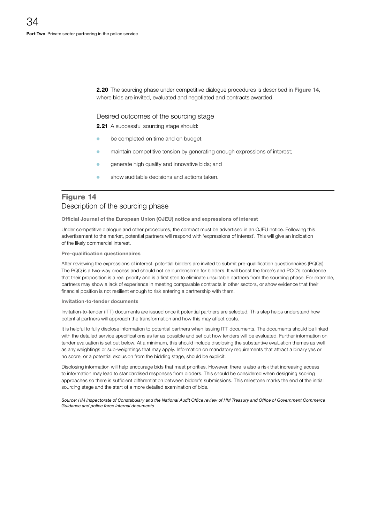2.20 The sourcing phase under competitive dialogue procedures is described in Figure 14, where bids are invited, evaluated and negotiated and contracts awarded.

#### Desired outcomes of the sourcing stage

2.21 A successful sourcing stage should:

- be completed on time and on budget;
- maintain competitive tension by generating enough expressions of interest;
- generate high quality and innovative bids; and
- show auditable decisions and actions taken.

# Figure 14 Description of the sourcing phase

Official Journal of the European Union (OJEU) notice and expressions of interest

Under competitive dialogue and other procedures, the contract must be advertised in an OJEU notice. Following this advertisement to the market, potential partners will respond with 'expressions of interest'. This will give an indication of the likely commercial interest.

Pre-qualification questionnaires

After reviewing the expressions of interest, potential bidders are invited to submit pre-qualification questionnaires (PQQs). The PQQ is a two-way process and should not be burdensome for bidders. It will boost the force's and PCC's confidence that their proposition is a real priority and is a first step to eliminate unsuitable partners from the sourcing phase. For example, partners may show a lack of experience in meeting comparable contracts in other sectors, or show evidence that their financial position is not resilient enough to risk entering a partnership with them.

#### Invitation-to-tender documents

Invitation-to-tender (ITT) documents are issued once it potential partners are selected. This step helps understand how potential partners will approach the transformation and how this may affect costs.

It is helpful to fully disclose information to potential partners when issuing ITT documents. The documents should be linked with the detailed service specifications as far as possible and set out how tenders will be evaluated. Further information on tender evaluation is set out below. At a minimum, this should include disclosing the substantive evaluation themes as well as any weightings or sub-weightings that may apply. Information on mandatory requirements that attract a binary yes or no score, or a potential exclusion from the bidding stage, should be explicit.

Disclosing information will help encourage bids that meet priorities. However, there is also a risk that increasing access to information may lead to standardised responses from bidders. This should be considered when designing scoring approaches so there is sufficient differentiation between bidder's submissions. This milestone marks the end of the initial sourcing stage and the start of a more detailed examination of bids.

Source: HM Inspectorate of Constabulary and the National Audit Office review of HM Treasury and Office of Government Commerce *Guidance and police force internal documents*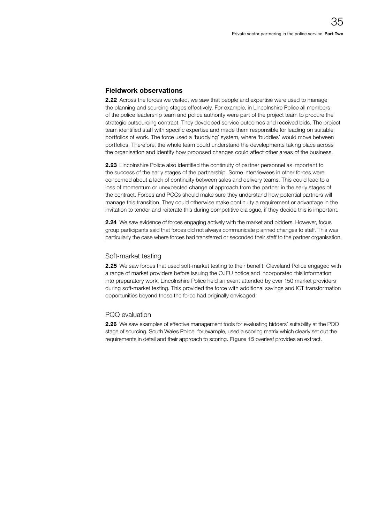# Fieldwork observations

2.22 Across the forces we visited, we saw that people and expertise were used to manage the planning and sourcing stages effectively. For example, in Lincolnshire Police all members of the police leadership team and police authority were part of the project team to procure the strategic outsourcing contract. They developed service outcomes and received bids. The project team identified staff with specific expertise and made them responsible for leading on suitable portfolios of work. The force used a 'buddying' system, where 'buddies' would move between portfolios. Therefore, the whole team could understand the developments taking place across the organisation and identify how proposed changes could affect other areas of the business.

2.23 Lincolnshire Police also identified the continuity of partner personnel as important to the success of the early stages of the partnership. Some interviewees in other forces were concerned about a lack of continuity between sales and delivery teams. This could lead to a loss of momentum or unexpected change of approach from the partner in the early stages of the contract. Forces and PCCs should make sure they understand how potential partners will manage this transition. They could otherwise make continuity a requirement or advantage in the invitation to tender and reiterate this during competitive dialogue, if they decide this is important.

2.24 We saw evidence of forces engaging actively with the market and bidders. However, focus group participants said that forces did not always communicate planned changes to staff. This was particularly the case where forces had transferred or seconded their staff to the partner organisation.

# Soft-market testing

2.25 We saw forces that used soft-market testing to their benefit. Cleveland Police engaged with a range of market providers before issuing the OJEU notice and incorporated this information into preparatory work. Lincolnshire Police held an event attended by over 150 market providers during soft-market testing. This provided the force with additional savings and ICT transformation opportunities beyond those the force had originally envisaged.

# PQQ evaluation

2.26 We saw examples of effective management tools for evaluating bidders' suitability at the PQQ stage of sourcing. South Wales Police, for example, used a scoring matrix which clearly set out the requirements in detail and their approach to scoring. Figure 15 overleaf provides an extract.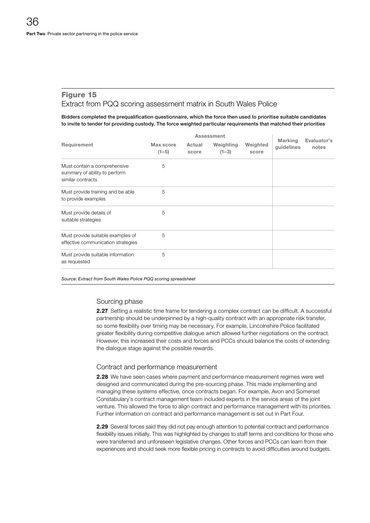# Figure 15 Extract from PQQ scoring assessment matrix in South Wales Police

Bidders completed the prequalification questionnaire, which the force then used to prioritise suitable candidates to invite to tender for providing custody. The force weighted particular requirements that matched their priorities

|                                                                                    | Assessment           |                 |                      |                   |                              |                      |
|------------------------------------------------------------------------------------|----------------------|-----------------|----------------------|-------------------|------------------------------|----------------------|
| Requirement                                                                        | Max score<br>$(1-5)$ | Actual<br>score | Weighting<br>$(1-3)$ | Weighted<br>score | <b>Marking</b><br>guidelines | Evaluator's<br>notes |
| Must contain a comprehensive<br>summary of ability to perform<br>similar contracts | 5                    |                 |                      |                   |                              |                      |
| Must provide training and be able<br>to provide examples                           | 5                    |                 |                      |                   |                              |                      |
| Must provide details of<br>suitable strategies                                     | 5                    |                 |                      |                   |                              |                      |
| Must provide suitable examples of<br>effective communication strategies            | 5                    |                 |                      |                   |                              |                      |
| Must provide suitable information<br>as requested                                  | 5                    |                 |                      |                   |                              |                      |

*Source: Extract from South Wales Police PQQ scoring spreadsheet*

# Sourcing phase

2.27 Setting a realistic time frame for tendering a complex contract can be difficult. A successful partnership should be underpinned by a high-quality contract with an appropriate risk transfer, so some flexibility over timing may be necessary. For example, Lincolnshire Police facilitated greater flexibility during competitive dialogue which allowed further negotiations on the contract. However, this increased their costs and forces and PCCs should balance the costs of extending the dialogue stage against the possible rewards.

# Contract and performance measurement

2.28 We have seen cases where payment and performance measurement regimes were well designed and communicated during the pre-sourcing phase. This made implementing and managing these systems effective, once contracts began. For example, Avon and Somerset Constabulary's contract management team included experts in the service areas of the joint venture. This allowed the force to align contract and performance management with its priorities. Further information on contract and performance management is set out in Part Four.

2.29 Several forces said they did not pay enough attention to potential contract and performance flexibility issues initially. This was highlighted by changes to staff terms and conditions for those who were transferred and unforeseen legislative changes. Other forces and PCCs can learn from their experiences and should seek more flexible pricing in contracts to avoid difficulties around budgets.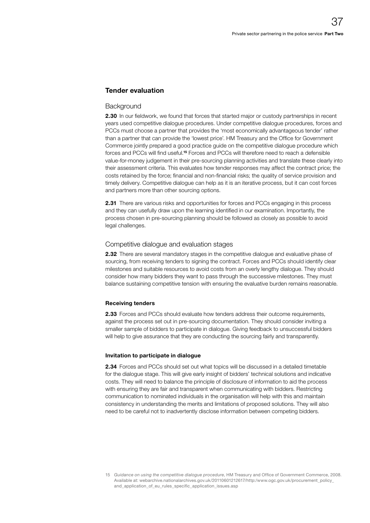#### Tender evaluation

#### **Background**

2.30 In our fieldwork, we found that forces that started major or custody partnerships in recent years used competitive dialogue procedures. Under competitive dialogue procedures, forces and PCCs must choose a partner that provides the 'most economically advantageous tender' rather than a partner that can provide the 'lowest price'. HM Treasury and the Office for Government Commerce jointly prepared a good practice guide on the competitive dialogue procedure which forces and PCCs will find useful.15 Forces and PCCs will therefore need to reach a defensible value-for-money judgement in their pre-sourcing planning activities and translate these clearly into their assessment criteria. This evaluates how tender responses may affect the contract price; the costs retained by the force; financial and non-financial risks; the quality of service provision and timely delivery. Competitive dialogue can help as it is an iterative process, but it can cost forces and partners more than other sourcing options.

**2.31** There are various risks and opportunities for forces and PCCs engaging in this process and they can usefully draw upon the learning identified in our examination. Importantly, the process chosen in pre-sourcing planning should be followed as closely as possible to avoid legal challenges.

#### Competitive dialogue and evaluation stages

2.32 There are several mandatory stages in the competitive dialogue and evaluative phase of sourcing, from receiving tenders to signing the contract. Forces and PCCs should identify clear milestones and suitable resources to avoid costs from an overly lengthy dialogue. They should consider how many bidders they want to pass through the successive milestones. They must balance sustaining competitive tension with ensuring the evaluative burden remains reasonable.

#### Receiving tenders

2.33 Forces and PCCs should evaluate how tenders address their outcome requirements, against the process set out in pre-sourcing documentation. They should consider inviting a smaller sample of bidders to participate in dialogue. Giving feedback to unsuccessful bidders will help to give assurance that they are conducting the sourcing fairly and transparently.

#### Invitation to participate in dialogue

2.34 Forces and PCCs should set out what topics will be discussed in a detailed timetable for the dialogue stage. This will give early insight of bidders' technical solutions and indicative costs. They will need to balance the principle of disclosure of information to aid the process with ensuring they are fair and transparent when communicating with bidders. Restricting communication to nominated individuals in the organisation will help with this and maintain consistency in understanding the merits and limitations of proposed solutions. They will also need to be careful not to inadvertently disclose information between competing bidders.

<sup>15</sup> *Guidance on using the competitive dialogue procedure*, HM Treasury and Office of Government Commerce, 2008. Available at: [webarchive.nationalarchives.gov.uk/20110601212617/http:/www.ogc.gov.uk/procurement\\_policy\\_](http://webarchive.nationalarchives.gov.uk/20110601212617/http:/www.ogc.gov.uk/procurement_policy_and_application_of_eu_rules_specific_application_issues.asp) and application of eu rules specific application issues.asp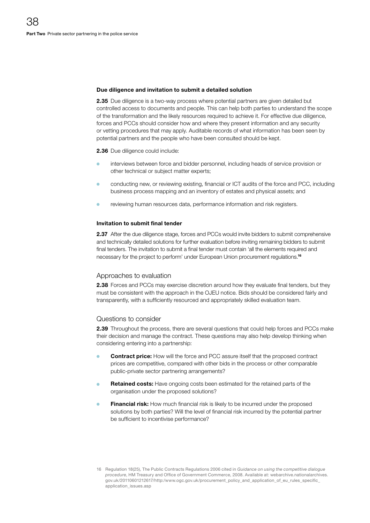#### Due diligence and invitation to submit a detailed solution

2.35 Due diligence is a two-way process where potential partners are given detailed but controlled access to documents and people. This can help both parties to understand the scope of the transformation and the likely resources required to achieve it. For effective due diligence, forces and PCCs should consider how and where they present information and any security or vetting procedures that may apply. Auditable records of what information has been seen by potential partners and the people who have been consulted should be kept.

2.36 Due diligence could include:

- interviews between force and bidder personnel, including heads of service provision or other technical or subject matter experts;
- conducting new, or reviewing existing, financial or ICT audits of the force and PCC, including business process mapping and an inventory of estates and physical assets; and
- reviewing human resources data, performance information and risk registers.

#### Invitation to submit final tender

2.37 After the due diligence stage, forces and PCCs would invite bidders to submit comprehensive and technically detailed solutions for further evaluation before inviting remaining bidders to submit final tenders. The invitation to submit a final tender must contain 'all the elements required and necessary for the project to perform' under European Union procurement regulations.<sup>16</sup>

#### Approaches to evaluation

2.38 Forces and PCCs may exercise discretion around how they evaluate final tenders, but they must be consistent with the approach in the OJEU notice. Bids should be considered fairly and transparently, with a sufficiently resourced and appropriately skilled evaluation team.

#### Questions to consider

2.39 Throughout the process, there are several questions that could help forces and PCCs make their decision and manage the contract. These questions may also help develop thinking when considering entering into a partnership:

- **Contract price:** How will the force and PCC assure itself that the proposed contract prices are competitive, compared with other bids in the process or other comparable public-private sector partnering arrangements?
- Retained costs: Have ongoing costs been estimated for the retained parts of the organisation under the proposed solutions?
- Financial risk: How much financial risk is likely to be incurred under the proposed solutions by both parties? Will the level of financial risk incurred by the potential partner be sufficient to incentivise performance?

<sup>16</sup> Regulation 18(25), The Public Contracts Regulations 2006 cited in *Guidance on using the competitive dialogue procedure*, HM Treasury and Office of Government Commerce, 2008. Available at: [webarchive.nationalarchives.](http://webarchive.nationalarchives.gov.uk/20110601212617/http:/www.ogc.gov.uk/procurement_policy_and_application_of_eu_rules_specific_application_issues.asp) [gov.uk/20110601212617/http:/www.ogc.gov.uk/procurement\\_policy\\_and\\_application\\_of\\_eu\\_rules\\_specific\\_](http://webarchive.nationalarchives.gov.uk/20110601212617/http:/www.ogc.gov.uk/procurement_policy_and_application_of_eu_rules_specific_application_issues.asp) [application\\_issues.asp](http://webarchive.nationalarchives.gov.uk/20110601212617/http:/www.ogc.gov.uk/procurement_policy_and_application_of_eu_rules_specific_application_issues.asp)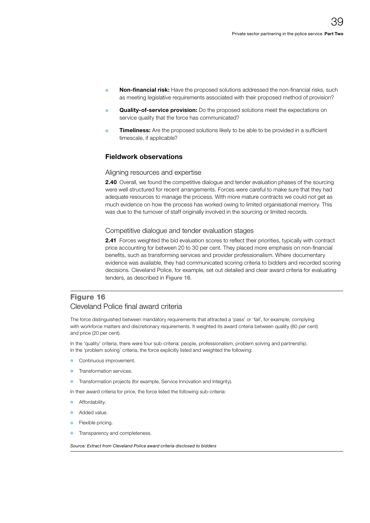- Non-financial risk: Have the proposed solutions addressed the non-financial risks, such as meeting legislative requirements associated with their proposed method of provision?
- Quality-of-service provision: Do the proposed solutions meet the expectations on service quality that the force has communicated?
- **Timeliness:** Are the proposed solutions likely to be able to be provided in a sufficient timescale, if applicable?

#### Fieldwork observations

#### Aligning resources and expertise

2.40 Overall, we found the competitive dialogue and tender evaluation phases of the sourcing were well structured for recent arrangements. Forces were careful to make sure that they had adequate resources to manage the process. With more mature contracts we could not get as much evidence on how the process has worked owing to limited organisational memory. This was due to the turnover of staff originally involved in the sourcing or limited records.

#### Competitive dialogue and tender evaluation stages

2.41 Forces weighted the bid evaluation scores to reflect their priorities, typically with contract price accounting for between 20 to 30 per cent. They placed more emphasis on non-financial benefits, such as transforming services and provider professionalism. Where documentary evidence was available, they had communicated scoring criteria to bidders and recorded scoring decisions. Cleveland Police, for example, set out detailed and clear award criteria for evaluating tenders, as described in Figure 16.

### Figure 16 Cleveland Police final award criteria

The force distinguished between mandatory requirements that attracted a 'pass' or 'fail', for example, complying with workforce matters and discretionary requirements. It weighted its award criteria between quality (80 per cent) and price (20 per cent).

In the 'quality' criteria, there were four sub-criteria: people, professionalism, problem solving and partnership. In the 'problem solving' criteria, the force explicitly listed and weighted the following:

- Continuous improvement.
- Transformation services.
- Transformation projects (for example, Service Innovation and Integrity).

In their award criteria for price, the force listed the following sub-criteria:

- Affordability.
- Added value.
- Flexible pricing.
- Transparency and completeness.

*Source: Extract from Cleveland Police award criteria disclosed to bidders*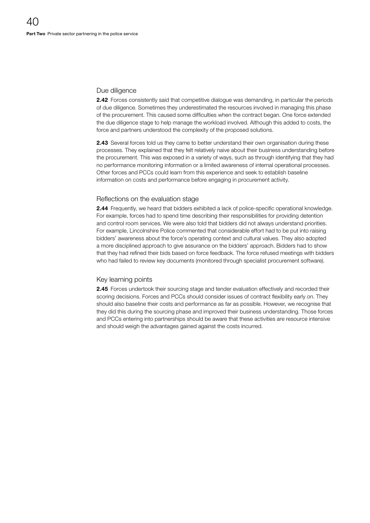#### Due diligence

2.42 Forces consistently said that competitive dialogue was demanding, in particular the periods of due diligence. Sometimes they underestimated the resources involved in managing this phase of the procurement. This caused some difficulties when the contract began. One force extended the due diligence stage to help manage the workload involved. Although this added to costs, the force and partners understood the complexity of the proposed solutions.

**2.43** Several forces told us they came to better understand their own organisation during these processes. They explained that they felt relatively naive about their business understanding before the procurement. This was exposed in a variety of ways, such as through identifying that they had no performance monitoring information or a limited awareness of internal operational processes. Other forces and PCCs could learn from this experience and seek to establish baseline information on costs and performance before engaging in procurement activity.

#### Reflections on the evaluation stage

2.44 Frequently, we heard that bidders exhibited a lack of police-specific operational knowledge. For example, forces had to spend time describing their responsibilities for providing detention and control room services. We were also told that bidders did not always understand priorities. For example, Lincolnshire Police commented that considerable effort had to be put into raising bidders' awareness about the force's operating context and cultural values. They also adopted a more disciplined approach to give assurance on the bidders' approach. Bidders had to show that they had refined their bids based on force feedback. The force refused meetings with bidders who had failed to review key documents (monitored through specialist procurement software).

#### Key learning points

2.45 Forces undertook their sourcing stage and tender evaluation effectively and recorded their scoring decisions. Forces and PCCs should consider issues of contract flexibility early on. They should also baseline their costs and performance as far as possible. However, we recognise that they did this during the sourcing phase and improved their business understanding. Those forces and PCCs entering into partnerships should be aware that these activities are resource intensive and should weigh the advantages gained against the costs incurred.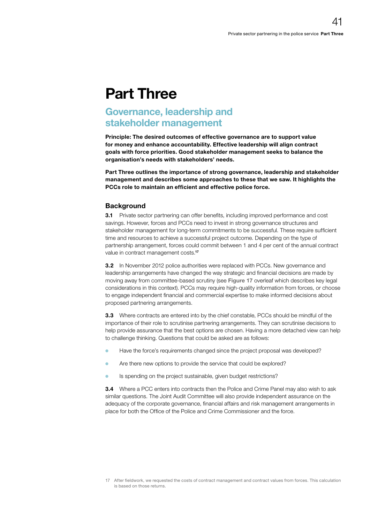## Part Three

## Governance, leadership and stakeholder management

Principle: The desired outcomes of effective governance are to support value for money and enhance accountability. Effective leadership will align contract goals with force priorities. Good stakeholder management seeks to balance the organisation's needs with stakeholders' needs.

Part Three outlines the importance of strong governance, leadership and stakeholder management and describes some approaches to these that we saw. It highlights the PCCs role to maintain an efficient and effective police force.

#### **Background**

**3.1** Private sector partnering can offer benefits, including improved performance and cost savings. However, forces and PCCs need to invest in strong governance structures and stakeholder management for long-term commitments to be successful. These require sufficient time and resources to achieve a successful project outcome. Depending on the type of partnership arrangement, forces could commit between 1 and 4 per cent of the annual contract value in contract management costs.<sup>17</sup>

**3.2** In November 2012 police authorities were replaced with PCCs. New governance and leadership arrangements have changed the way strategic and financial decisions are made by moving away from committee-based scrutiny (see Figure 17 overleaf which describes key legal considerations in this context). PCCs may require high-quality information from forces, or choose to engage independent financial and commercial expertise to make informed decisions about proposed partnering arrangements.

**3.3** Where contracts are entered into by the chief constable, PCCs should be mindful of the importance of their role to scrutinise partnering arrangements. They can scrutinise decisions to help provide assurance that the best options are chosen. Having a more detached view can help to challenge thinking. Questions that could be asked are as follows:

- <sup>O</sup> Have the force's requirements changed since the project proposal was developed?
- **O** Are there new options to provide the service that could be explored?
- **Is spending on the project sustainable, given budget restrictions?**

**3.4** Where a PCC enters into contracts then the Police and Crime Panel may also wish to ask similar questions. The Joint Audit Committee will also provide independent assurance on the adequacy of the corporate governance, financial affairs and risk management arrangements in place for both the Office of the Police and Crime Commissioner and the force.

<sup>17</sup> After fieldwork, we requested the costs of contract management and contract values from forces. This calculation is based on those returns.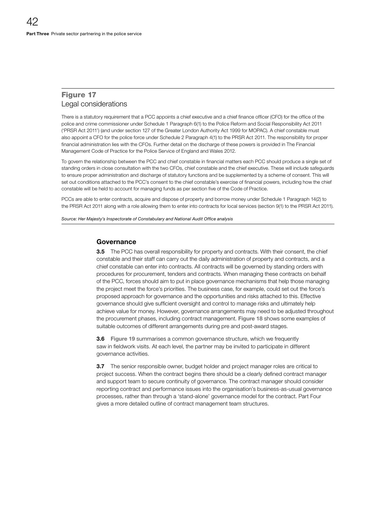### Figure 17 Legal considerations

There is a statutory requirement that a PCC appoints a chief executive and a chief finance officer (CFO) for the office of the police and crime commissioner under Schedule 1 Paragraph 6(1) to the Police Reform and Social Responsibility Act 2011 ('PRSR Act 2011') (and under section 127 of the Greater London Authority Act 1999 for MOPAC). A chief constable must also appoint a CFO for the police force under Schedule 2 Paragraph 4(1) to the PRSR Act 2011. The responsibility for proper financial administration lies with the CFOs. Further detail on the discharge of these powers is provided in The Financial Management Code of Practice for the Police Service of England and Wales 2012.

To govern the relationship between the PCC and chief constable in financial matters each PCC should produce a single set of standing orders in close consultation with the two CFOs, chief constable and the chief executive. These will include safeguards to ensure proper administration and discharge of statutory functions and be supplemented by a scheme of consent. This will set out conditions attached to the PCC's consent to the chief constable's exercise of financial powers, including how the chief constable will be held to account for managing funds as per section five of the Code of Practice.

PCCs are able to enter contracts, acquire and dispose of property and borrow money under Schedule 1 Paragraph 14(2) to the PRSR Act 2011 along with a role allowing them to enter into contracts for local services (section 9(1) to the PRSR Act 2011).

Source: Her Majesty's Inspectorate of Constabulary and National Audit Office analysis

#### **Governance**

**3.5** The PCC has overall responsibility for property and contracts. With their consent, the chief constable and their staff can carry out the daily administration of property and contracts, and a chief constable can enter into contracts. All contracts will be governed by standing orders with procedures for procurement, tenders and contracts. When managing these contracts on behalf of the PCC, forces should aim to put in place governance mechanisms that help those managing the project meet the force's priorities. The business case, for example, could set out the force's proposed approach for governance and the opportunities and risks attached to this. Effective governance should give sufficient oversight and control to manage risks and ultimately help achieve value for money. However, governance arrangements may need to be adjusted throughout the procurement phases, including contract management. Figure 18 shows some examples of suitable outcomes of different arrangements during pre and post-award stages.

**3.6** Figure 19 summarises a common governance structure, which we frequently saw in fieldwork visits. At each level, the partner may be invited to participate in different governance activities.

**3.7** The senior responsible owner, budget holder and project manager roles are critical to project success. When the contract begins there should be a clearly defined contract manager and support team to secure continuity of governance. The contract manager should consider reporting contract and performance issues into the organisation's business-as-usual governance processes, rather than through a 'stand-alone' governance model for the contract. Part Four gives a more detailed outline of contract management team structures.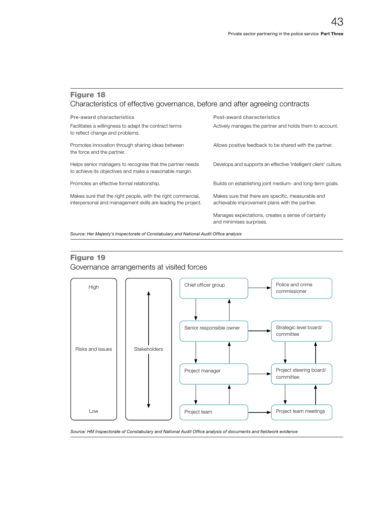### Figure 18 Characteristics of effective governance, before and after agreeing contracts

| <b>Pre-award characteristics</b>                                                                                             | Post-award characteristics                                                                           |  |  |
|------------------------------------------------------------------------------------------------------------------------------|------------------------------------------------------------------------------------------------------|--|--|
| Facilitates a willingness to adapt the contract terms<br>to reflect change and problems.                                     | Actively manages the partner and holds them to account.                                              |  |  |
| Promotes innovation through sharing ideas between<br>the force and the partner.                                              | Allows positive feedback to be shared with the partner.                                              |  |  |
| Helps senior managers to recognise that the partner needs<br>to achieve its objectives and make a reasonable margin.         | Develops and supports an effective 'intelligent client' culture.                                     |  |  |
| Promotes an effective formal relationship.                                                                                   | Builds on establishing joint medium- and long-term goals.                                            |  |  |
| Makes sure that the right people, with the right commercial,<br>interpersonal and management skills are leading the project. | Makes sure that there are specific, measurable and<br>achievable improvement plans with the partner. |  |  |
|                                                                                                                              | Manages expectations, creates a sense of certainty<br>and minimises surprises.                       |  |  |

Source: Her Majesty's Inspectorate of Constabulary and National Audit Office analysis

### Figure 19

Governance arrangements at visited forces



Source: HM Inspectorate of Constabulary and National Audit Office analysis of documents and fieldwork evidence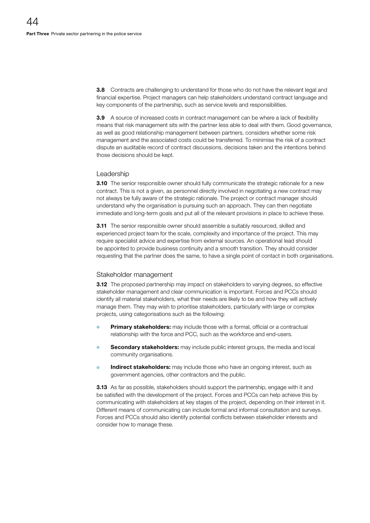**3.8** Contracts are challenging to understand for those who do not have the relevant legal and financial expertise. Project managers can help stakeholders understand contract language and key components of the partnership, such as service levels and responsibilities.

3.9 A source of increased costs in contract management can be where a lack of flexibility means that risk management sits with the partner less able to deal with them. Good governance, as well as good relationship management between partners, considers whether some risk management and the associated costs could be transferred. To minimise the risk of a contract dispute an auditable record of contract discussions, decisions taken and the intentions behind those decisions should be kept.

#### Leadership

**3.10** The senior responsible owner should fully communicate the strategic rationale for a new contract. This is not a given, as personnel directly involved in negotiating a new contract may not always be fully aware of the strategic rationale. The project or contract manager should understand why the organisation is pursuing such an approach. They can then negotiate immediate and long-term goals and put all of the relevant provisions in place to achieve these.

**3.11** The senior responsible owner should assemble a suitably resourced, skilled and experienced project team for the scale, complexity and importance of the project. This may require specialist advice and expertise from external sources. An operational lead should be appointed to provide business continuity and a smooth transition. They should consider requesting that the partner does the same, to have a single point of contact in both organisations.

#### Stakeholder management

**3.12** The proposed partnership may impact on stakeholders to varying degrees, so effective stakeholder management and clear communication is important. Forces and PCCs should identify all material stakeholders, what their needs are likely to be and how they will actively manage them. They may wish to prioritise stakeholders, particularly with large or complex projects, using categorisations such as the following:

- Primary stakeholders: may include those with a formal, official or a contractual relationship with the force and PCC, such as the workforce and end-users.
- **Secondary stakeholders:** may include public interest groups, the media and local community organisations.
- **Indirect stakeholders:** may include those who have an ongoing interest, such as government agencies, other contractors and the public.

**3.13** As far as possible, stakeholders should support the partnership, engage with it and be satisfied with the development of the project. Forces and PCCs can help achieve this by communicating with stakeholders at key stages of the project, depending on their interest in it. Different means of communicating can include formal and informal consultation and surveys. Forces and PCCs should also identify potential conflicts between stakeholder interests and consider how to manage these.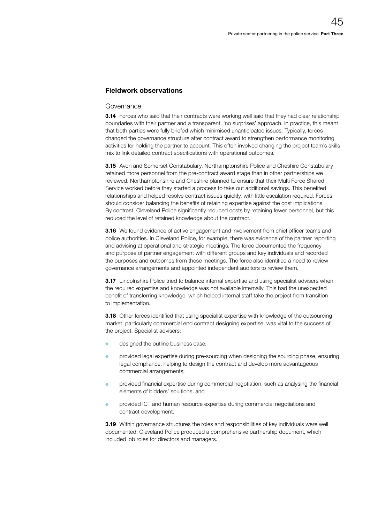#### Fieldwork observations

#### Governance

**3.14** Forces who said that their contracts were working well said that they had clear relationship boundaries with their partner and a transparent, 'no surprises' approach. In practice, this meant that both parties were fully briefed which minimised unanticipated issues. Typically, forces changed the governance structure after contract award to strengthen performance monitoring activities for holding the partner to account. This often involved changing the project team's skills mix to link detailed contract specifications with operational outcomes.

**3.15** Avon and Somerset Constabulary, Northamptonshire Police and Cheshire Constabulary retained more personnel from the pre-contract award stage than in other partnerships we reviewed. Northamptonshire and Cheshire planned to ensure that their Multi Force Shared Service worked before they started a process to take out additional savings. This benefited relationships and helped resolve contract issues quickly, with little escalation required. Forces should consider balancing the benefits of retaining expertise against the cost implications. By contrast, Cleveland Police significantly reduced costs by retaining fewer personnel, but this reduced the level of retained knowledge about the contract.

**3.16** We found evidence of active engagement and involvement from chief officer teams and police authorities. In Cleveland Police, for example, there was evidence of the partner reporting and advising at operational and strategic meetings. The force documented the frequency and purpose of partner engagement with different groups and key individuals and recorded the purposes and outcomes from these meetings. The force also identified a need to review governance arrangements and appointed independent auditors to review them.

**3.17** Lincolnshire Police tried to balance internal expertise and using specialist advisers when the required expertise and knowledge was not available internally. This had the unexpected benefit of transferring knowledge, which helped internal staff take the project from transition to implementation.

**3.18** Other forces identified that using specialist expertise with knowledge of the outsourcing market, particularly commercial end contract designing expertise, was vital to the success of the project. Specialist advisers:

- designed the outline business case;
- <sup>O</sup> provided legal expertise during pre-sourcing when designing the sourcing phase, ensuring legal compliance, helping to design the contract and develop more advantageous commercial arrangements;
- provided financial expertise during commercial negotiation, such as analysing the financial elements of bidders' solutions; and
- provided ICT and human resource expertise during commercial negotiations and contract development.

**3.19** Within governance structures the roles and responsibilities of key individuals were well documented. Cleveland Police produced a comprehensive partnership document, which included job roles for directors and managers.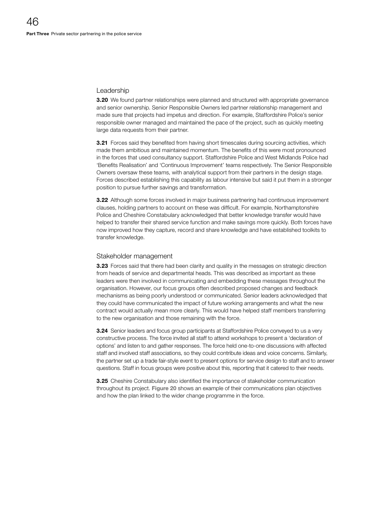#### Leadership

**3.20** We found partner relationships were planned and structured with appropriate governance and senior ownership. Senior Responsible Owners led partner relationship management and made sure that projects had impetus and direction. For example, Staffordshire Police's senior responsible owner managed and maintained the pace of the project, such as quickly meeting large data requests from their partner.

**3.21** Forces said they benefited from having short timescales during sourcing activities, which made them ambitious and maintained momentum. The benefits of this were most pronounced in the forces that used consultancy support. Staffordshire Police and West Midlands Police had 'Benefits Realisation' and 'Continuous Improvement' teams respectively. The Senior Responsible Owners oversaw these teams, with analytical support from their partners in the design stage. Forces described establishing this capability as labour intensive but said it put them in a stronger position to pursue further savings and transformation.

**3.22** Although some forces involved in major business partnering had continuous improvement clauses, holding partners to account on these was difficult. For example, Northamptonshire Police and Cheshire Constabulary acknowledged that better knowledge transfer would have helped to transfer their shared service function and make savings more quickly. Both forces have now improved how they capture, record and share knowledge and have established toolkits to transfer knowledge.

#### Stakeholder management

3.23 Forces said that there had been clarity and quality in the messages on strategic direction from heads of service and departmental heads. This was described as important as these leaders were then involved in communicating and embedding these messages throughout the organisation. However, our focus groups often described proposed changes and feedback mechanisms as being poorly understood or communicated. Senior leaders acknowledged that they could have communicated the impact of future working arrangements and what the new contract would actually mean more clearly. This would have helped staff members transferring to the new organisation and those remaining with the force.

**3.24** Senior leaders and focus group participants at Staffordshire Police conveyed to us a very constructive process. The force invited all staff to attend workshops to present a 'declaration of options' and listen to and gather responses. The force held one-to-one discussions with affected staff and involved staff associations, so they could contribute ideas and voice concerns. Similarly, the partner set up a trade fair-style event to present options for service design to staff and to answer questions. Staff in focus groups were positive about this, reporting that it catered to their needs.

3.25 Cheshire Constabulary also identified the importance of stakeholder communication throughout its project. Figure 20 shows an example of their communications plan objectives and how the plan linked to the wider change programme in the force.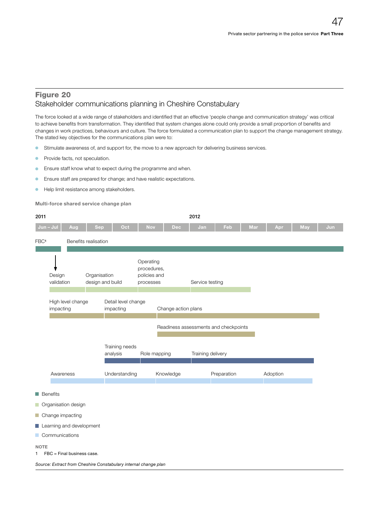#### Figure 20 Stakeholder communications planning in Cheshire Constabulary

The force looked at a wide range of stakeholders and identified that an effective 'people change and communication strategy' was critical to achieve benefits from transformation. They identified that system changes alone could only provide a small proportion of benefits and changes in work practices, behaviours and culture. The force formulated a communication plan to support the change management strategy. The stated key objectives for the communications plan were to:

- <sup>O</sup> Stimulate awareness of, and support for, the move to a new approach for delivering business services.
- **•** Provide facts, not speculation.
- **O** Ensure staff know what to expect during the programme and when.
- **C** Ensure staff are prepared for change; and have realistic expectations.
- **•** Help limit resistance among stakeholders.

Multi-force shared service change plan

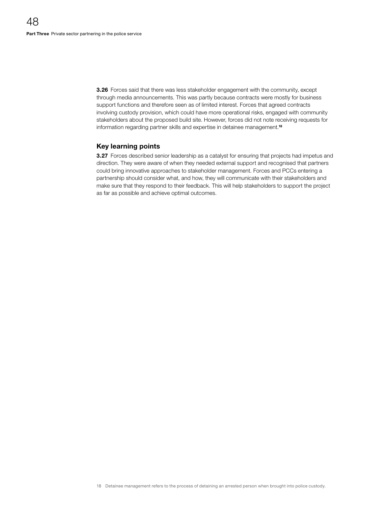**3.26** Forces said that there was less stakeholder engagement with the community, except through media announcements. This was partly because contracts were mostly for business support functions and therefore seen as of limited interest. Forces that agreed contracts involving custody provision, which could have more operational risks, engaged with community stakeholders about the proposed build site. However, forces did not note receiving requests for information regarding partner skills and expertise in detainee management.<sup>18</sup>

#### Key learning points

**3.27** Forces described senior leadership as a catalyst for ensuring that projects had impetus and direction. They were aware of when they needed external support and recognised that partners could bring innovative approaches to stakeholder management. Forces and PCCs entering a partnership should consider what, and how, they will communicate with their stakeholders and make sure that they respond to their feedback. This will help stakeholders to support the project as far as possible and achieve optimal outcomes.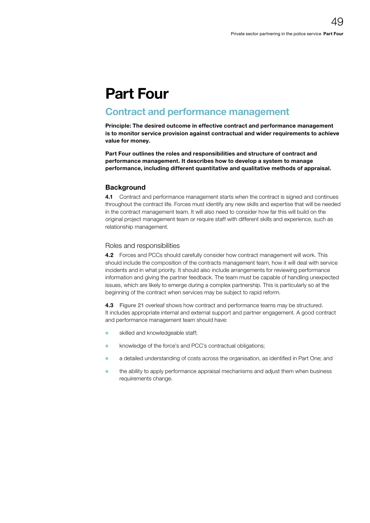## Part Four

## Contract and performance management

Principle: The desired outcome in effective contract and performance management is to monitor service provision against contractual and wider requirements to achieve value for money.

Part Four outlines the roles and responsibilities and structure of contract and performance management. It describes how to develop a system to manage performance, including different quantitative and qualitative methods of appraisal.

#### **Background**

4.1 Contract and performance management starts when the contract is signed and continues throughout the contract life. Forces must identify any new skills and expertise that will be needed in the contract management team. It will also need to consider how far this will build on the original project management team or require staff with different skills and experience, such as relationship management.

#### Roles and responsibilities

4.2 Forces and PCCs should carefully consider how contract management will work. This should include the composition of the contracts management team, how it will deal with service incidents and in what priority. It should also include arrangements for reviewing performance information and giving the partner feedback. The team must be capable of handling unexpected issues, which are likely to emerge during a complex partnership. This is particularly so at the beginning of the contract when services may be subject to rapid reform.

4.3 Figure 21 overleaf shows how contract and performance teams may be structured. It includes appropriate internal and external support and partner engagement. A good contract and performance management team should have:

- skilled and knowledgeable staff;
- <sup>O</sup> knowledge of the force's and PCC's contractual obligations;
- <sup>O</sup> a detailed understanding of costs across the organisation, as identified in Part One; and
- the ability to apply performance appraisal mechanisms and adjust them when business requirements change.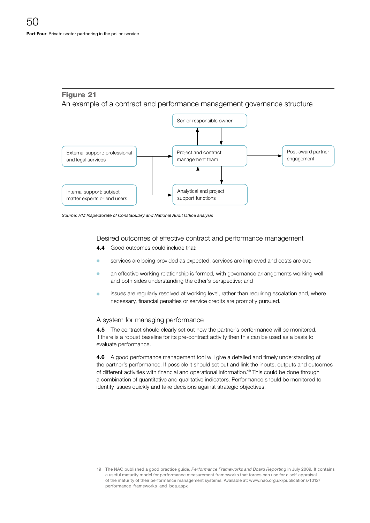### Figure 21

An example of a contract and performance management governance structure



Source: HM Inspectorate of Constabulary and National Audit Office analysis

Desired outcomes of effective contract and performance management

- 4.4 Good outcomes could include that:
- services are being provided as expected, services are improved and costs are cut;
- an effective working relationship is formed, with governance arrangements working well and both sides understanding the other's perspective; and
- issues are regularly resolved at working level, rather than requiring escalation and, where necessary, financial penalties or service credits are promptly pursued.

#### A system for managing performance

4.5 The contract should clearly set out how the partner's performance will be monitored. If there is a robust baseline for its pre-contract activity then this can be used as a basis to evaluate performance.

4.6 A good performance management tool will give a detailed and timely understanding of the partner's performance. If possible it should set out and link the inputs, outputs and outcomes of different activities with financial and operational information.19 This could be done through a combination of quantitative and qualitative indicators. Performance should be monitored to identify issues quickly and take decisions against strategic objectives.

<sup>19</sup> The NAO published a good practice guide, *Performance Frameworks and Board Reporting* in July 2009*.* It contains a useful maturity model for performance measurement frameworks that forces can use for a self-appraisal of the maturity of their performance management systems. Available at: [www.nao.org.uk/publications/1012/](http://www.nao.org.uk/report/performance-frameworks-and-board-reporting-ii/) [performance\\_frameworks\\_and\\_boa.aspx](http://www.nao.org.uk/report/performance-frameworks-and-board-reporting-ii/)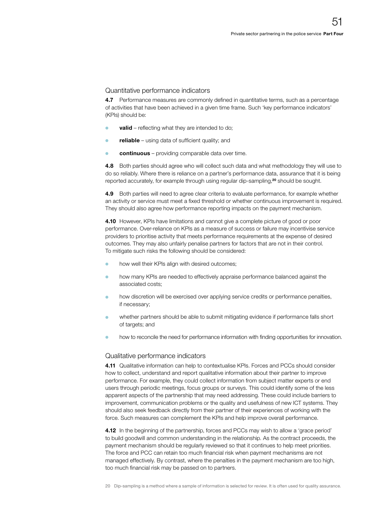#### Quantitative performance indicators

4.7 Performance measures are commonly defined in quantitative terms, such as a percentage of activities that have been achieved in a given time frame. Such 'key performance indicators' (KPIs) should be:

- $\bullet$  valid reflecting what they are intended to do;
- $\bullet$  reliable using data of sufficient quality; and
- continuous providing comparable data over time.

4.8 Both parties should agree who will collect such data and what methodology they will use to do so reliably. Where there is reliance on a partner's performance data, assurance that it is being reported accurately, for example through using regular dip-sampling,<sup>20</sup> should be sought.

4.9 Both parties will need to agree clear criteria to evaluate performance, for example whether an activity or service must meet a fixed threshold or whether continuous improvement is required. They should also agree how performance reporting impacts on the payment mechanism.

4.10 However, KPIs have limitations and cannot give a complete picture of good or poor performance. Over-reliance on KPIs as a measure of success or failure may incentivise service providers to prioritise activity that meets performance requirements at the expense of desired outcomes. They may also unfairly penalise partners for factors that are not in their control. To mitigate such risks the following should be considered:

- how well their KPIs align with desired outcomes;
- <sup>O</sup> how many KPIs are needed to effectively appraise performance balanced against the associated costs;
- **•** how discretion will be exercised over applying service credits or performance penalties, if necessary;
- whether partners should be able to submit mitigating evidence if performance falls short of targets; and
- how to reconcile the need for performance information with finding opportunities for innovation.

#### Qualitative performance indicators

**4.11** Qualitative information can help to contextualise KPIs. Forces and PCCs should consider how to collect, understand and report qualitative information about their partner to improve performance. For example, they could collect information from subject matter experts or end users through periodic meetings, focus groups or surveys. This could identify some of the less apparent aspects of the partnership that may need addressing. These could include barriers to improvement, communication problems or the quality and usefulness of new ICT systems. They should also seek feedback directly from their partner of their experiences of working with the force. Such measures can complement the KPIs and help improve overall performance.

4.12 In the beginning of the partnership, forces and PCCs may wish to allow a 'grace period' to build goodwill and common understanding in the relationship. As the contract proceeds, the payment mechanism should be regularly reviewed so that it continues to help meet priorities. The force and PCC can retain too much financial risk when payment mechanisms are not managed effectively. By contrast, where the penalties in the payment mechanism are too high, too much financial risk may be passed on to partners.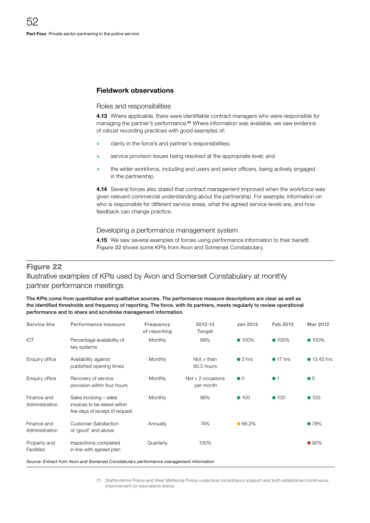#### Fieldwork observations

#### Roles and responsibilities

4.13 Where applicable, there were identifiable contract managers who were responsible for managing the partner's performance.<sup>21</sup> Where information was available, we saw evidence of robust recording practices with good examples of:

- **•** clarity in the force's and partner's responsibilities;
- service provision issues being resolved at the appropriate level; and
- the wider workforce, including end users and senior officers, being actively engaged in the partnership.

4.14 Several forces also stated that contract management improved when the workforce was given relevant commercial understanding about the partnership. For example, information on who is responsible for different service areas, what the agreed service levels are, and how feedback can change practice.

#### Developing a performance management system

4.15 We saw several examples of forces using performance information to their benefit. Figure 22 shows some KPIs from Avon and Somerset Constabulary.

#### Figure 22

### Illustrative examples of KPIs used by Avon and Somerset Constabulary at monthly partner performance meetings

The KPIs come from quantitative and qualitative sources. The performance measure descriptions are clear as well as the identified thresholds and frequency of reporting. The force, with its partners, meets regularly to review operational performance and to share and scrutinise management information.

| <b>Service line</b>               | Performance measure                                                                        | Frequency<br>of reporting | 2012-13<br>Target                | <b>Jan 2012</b>        | Feb 2012         | <b>Mar 2012</b>        |
|-----------------------------------|--------------------------------------------------------------------------------------------|---------------------------|----------------------------------|------------------------|------------------|------------------------|
| <b>ICT</b>                        | Percentage availability of<br>key systems                                                  | <b>Monthly</b>            | 99%                              | $• 100\%$              | $• 100\%$        | $• 100\%$              |
| Enquiry office                    | Availability against<br>published opening times                                            | Monthly                   | Not > than<br>60.5 hours         | $\bullet$ 3 hrs        | $\bullet$ 17 hrs | • 13.45 hrs            |
| Enquiry office                    | Recovery of service<br>provision within four hours                                         | <b>Monthly</b>            | $Not > 2$ occasions<br>per month | $\bullet$ <sup>0</sup> | $\bullet$ 1      | $\bullet$ <sup>0</sup> |
| Finance and<br>Administration     | Sales invoicing - sales<br>invoices to be raised within<br>five days of receipt of request | Monthly                   | 98%                              | $\bullet$ 100          | $\bullet$ 100    | $\bullet$ 100          |
| Finance and<br>Administration     | <b>Customer Satisfaction</b><br>of 'good' and above                                        | Annually                  | 74%                              | •66.2%                 |                  | •78%                   |
| Property and<br><b>Facilities</b> | Inspections completed<br>in line with agreed plan                                          | Quarterly                 | 100%                             |                        |                  | •90%                   |
|                                   | Source: Extract from Avon and Somerset Constabulary performance management information     |                           |                                  |                        |                  |                        |

21 Staffordshire Police and West Midlands Police undertook consultancy support and both established continuous improvement (or equivalent) teams.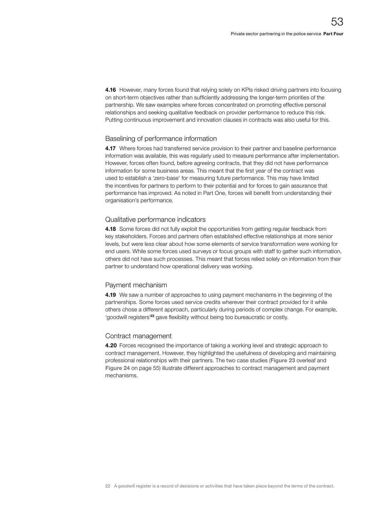4.16 However, many forces found that relying solely on KPIs risked driving partners into focusing on short-term objectives rather than sufficiently addressing the longer-term priorities of the partnership. We saw examples where forces concentrated on promoting effective personal relationships and seeking qualitative feedback on provider performance to reduce this risk. Putting continuous improvement and innovation clauses in contracts was also useful for this.

#### Baselining of performance information

4.17 Where forces had transferred service provision to their partner and baseline performance information was available, this was regularly used to measure performance after implementation. However, forces often found, before agreeing contracts, that they did not have performance information for some business areas. This meant that the first year of the contract was used to establish a 'zero-base' for measuring future performance. This may have limited the incentives for partners to perform to their potential and for forces to gain assurance that performance has improved. As noted in Part One, forces will benefit from understanding their organisation's performance.

#### Qualitative performance indicators

**4.18** Some forces did not fully exploit the opportunities from getting regular feedback from key stakeholders. Forces and partners often established effective relationships at more senior levels, but were less clear about how some elements of service transformation were working for end users. While some forces used surveys or focus groups with staff to gather such information, others did not have such processes. This meant that forces relied solely on information from their partner to understand how operational delivery was working.

#### Payment mechanism

**4.19** We saw a number of approaches to using payment mechanisms in the beginning of the partnerships. Some forces used service credits wherever their contract provided for it while others chose a different approach, particularly during periods of complex change. For example, 'goodwill registers'22 gave flexibility without being too bureaucratic or costly.

#### Contract management

4.20 Forces recognised the importance of taking a working level and strategic approach to contract management. However, they highlighted the usefulness of developing and maintaining professional relationships with their partners. The two case studies (Figure 23 overleaf and Figure 24 on page 55) illustrate different approaches to contract management and payment mechanisms.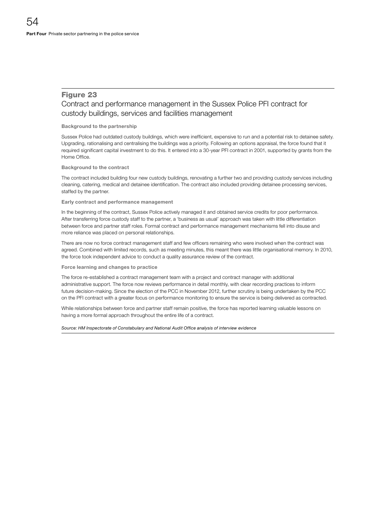#### Figure 23

#### Contract and performance management in the Sussex Police PFI contract for custody buildings, services and facilities management

#### Background to the partnership

Sussex Police had outdated custody buildings, which were inefficient, expensive to run and a potential risk to detainee safety. Upgrading, rationalising and centralising the buildings was a priority. Following an options appraisal, the force found that it required significant capital investment to do this. It entered into a 30-year PFI contract in 2001, supported by grants from the Home Office.

#### Background to the contract

The contract included building four new custody buildings, renovating a further two and providing custody services including cleaning, catering, medical and detainee identification. The contract also included providing detainee processing services, staffed by the partner.

#### Early contract and performance management

In the beginning of the contract, Sussex Police actively managed it and obtained service credits for poor performance. After transferring force custody staff to the partner, a 'business as usual' approach was taken with little differentiation between force and partner staff roles. Formal contract and performance management mechanisms fell into disuse and more reliance was placed on personal relationships.

There are now no force contract management staff and few officers remaining who were involved when the contract was agreed. Combined with limited records, such as meeting minutes, this meant there was little organisational memory. In 2010, the force took independent advice to conduct a quality assurance review of the contract.

#### Force learning and changes to practice

The force re-established a contract management team with a project and contract manager with additional administrative support. The force now reviews performance in detail monthly, with clear recording practices to inform future decision-making. Since the election of the PCC in November 2012, further scrutiny is being undertaken by the PCC on the PFI contract with a greater focus on performance monitoring to ensure the service is being delivered as contracted.

While relationships between force and partner staff remain positive, the force has reported learning valuable lessons on having a more formal approach throughout the entire life of a contract.

#### Source: HM Inspectorate of Constabulary and National Audit Office analysis of interview evidence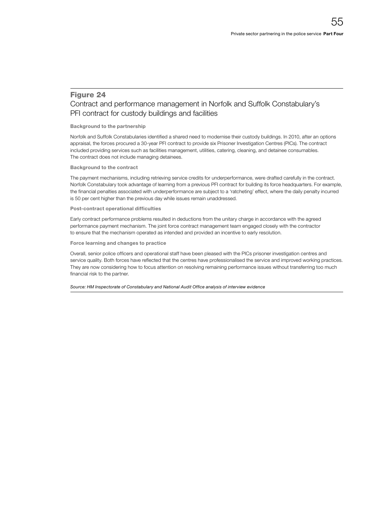#### Figure 24 Contract and performance management in Norfolk and Suffolk Constabulary's PFI contract for custody buildings and facilities

#### Background to the partnership

Norfolk and Suffolk Constabularies identified a shared need to modernise their custody buildings. In 2010, after an options appraisal, the forces procured a 30-year PFI contract to provide six Prisoner Investigation Centres (PICs). The contract included providing services such as facilities management, utilities, catering, cleaning, and detainee consumables. The contract does not include managing detainees.

Background to the contract

The payment mechanisms, including retrieving service credits for underperformance, were drafted carefully in the contract. Norfolk Constabulary took advantage of learning from a previous PFI contract for building its force headquarters. For example, the financial penalties associated with underperformance are subject to a 'ratcheting' effect, where the daily penalty incurred is 50 per cent higher than the previous day while issues remain unaddressed.

#### Post-contract operational difficulties

Early contract performance problems resulted in deductions from the unitary charge in accordance with the agreed performance payment mechanism. The joint force contract management team engaged closely with the contractor to ensure that the mechanism operated as intended and provided an incentive to early resolution.

#### Force learning and changes to practice

Overall, senior police officers and operational staff have been pleased with the PICs prisoner investigation centres and service quality. Both forces have reflected that the centres have professionalised the service and improved working practices. They are now considering how to focus attention on resolving remaining performance issues without transferring too much financial risk to the partner.

Source: HM Inspectorate of Constabulary and National Audit Office analysis of interview evidence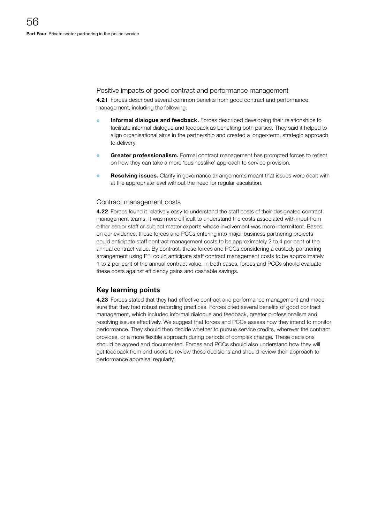#### Positive impacts of good contract and performance management

4.21 Forces described several common benefits from good contract and performance management, including the following:

- Informal dialogue and feedback. Forces described developing their relationships to facilitate informal dialogue and feedback as benefiting both parties. They said it helped to align organisational aims in the partnership and created a longer-term, strategic approach to delivery.
- Greater professionalism. Formal contract management has prompted forces to reflect on how they can take a more 'businesslike' approach to service provision.
- **Resolving issues.** Clarity in governance arrangements meant that issues were dealt with at the appropriate level without the need for regular escalation.

#### Contract management costs

4.22 Forces found it relatively easy to understand the staff costs of their designated contract management teams. It was more difficult to understand the costs associated with input from either senior staff or subject matter experts whose involvement was more intermittent. Based on our evidence, those forces and PCCs entering into major business partnering projects could anticipate staff contract management costs to be approximately 2 to 4 per cent of the annual contract value. By contrast, those forces and PCCs considering a custody partnering arrangement using PFI could anticipate staff contract management costs to be approximately 1 to 2 per cent of the annual contract value. In both cases, forces and PCCs should evaluate these costs against efficiency gains and cashable savings.

#### Key learning points

4.23 Forces stated that they had effective contract and performance management and made sure that they had robust recording practices. Forces cited several benefits of good contract management, which included informal dialogue and feedback, greater professionalism and resolving issues effectively. We suggest that forces and PCCs assess how they intend to monitor performance. They should then decide whether to pursue service credits, wherever the contract provides, or a more flexible approach during periods of complex change. These decisions should be agreed and documented. Forces and PCCs should also understand how they will get feedback from end-users to review these decisions and should review their approach to performance appraisal regularly.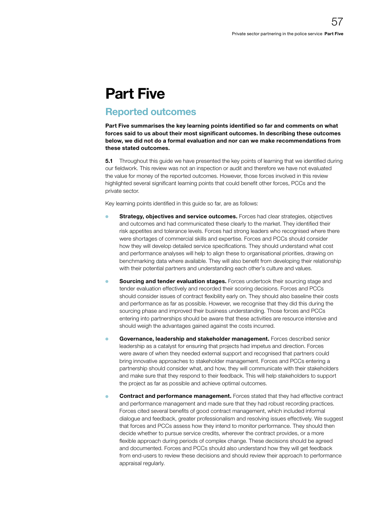## Part Five

## Reported outcomes

Part Five summarises the key learning points identified so far and comments on what forces said to us about their most significant outcomes. In describing these outcomes below, we did not do a formal evaluation and nor can we make recommendations from these stated outcomes.

**5.1** Throughout this guide we have presented the key points of learning that we identified during our fieldwork. This review was not an inspection or audit and therefore we have not evaluated the value for money of the reported outcomes. However, those forces involved in this review highlighted several significant learning points that could benefit other forces, PCCs and the private sector.

Key learning points identified in this guide so far, are as follows:

- Strategy, objectives and service outcomes. Forces had clear strategies, objectives and outcomes and had communicated these clearly to the market. They identified their risk appetites and tolerance levels. Forces had strong leaders who recognised where there were shortages of commercial skills and expertise. Forces and PCCs should consider how they will develop detailed service specifications. They should understand what cost and performance analyses will help to align these to organisational priorities, drawing on benchmarking data where available. They will also benefit from developing their relationship with their potential partners and understanding each other's culture and values.
- Sourcing and tender evaluation stages. Forces undertook their sourcing stage and tender evaluation effectively and recorded their scoring decisions. Forces and PCCs should consider issues of contract flexibility early on. They should also baseline their costs and performance as far as possible. However, we recognise that they did this during the sourcing phase and improved their business understanding. Those forces and PCCs entering into partnerships should be aware that these activities are resource intensive and should weigh the advantages gained against the costs incurred.
- **COVET ANCE AND FIGORAT GOVERNMENT COVERNMENT COVERNMENT COVERNMENT COVERNMENT COVERNMENT COVERNMENT COVERNMENT COVERNMENT COVERNMENT COVERNMENT COVERNMENT COVERNMENT COVERNMENT COVERNMENT COVERNMENT COVERNMENT COVERNMENT** leadership as a catalyst for ensuring that projects had impetus and direction. Forces were aware of when they needed external support and recognised that partners could bring innovative approaches to stakeholder management. Forces and PCCs entering a partnership should consider what, and how, they will communicate with their stakeholders and make sure that they respond to their feedback. This will help stakeholders to support the project as far as possible and achieve optimal outcomes.
- Contract and performance management. Forces stated that they had effective contract and performance management and made sure that they had robust recording practices. Forces cited several benefits of good contract management, which included informal dialogue and feedback, greater professionalism and resolving issues effectively. We suggest that forces and PCCs assess how they intend to monitor performance. They should then decide whether to pursue service credits, wherever the contract provides, or a more flexible approach during periods of complex change. These decisions should be agreed and documented. Forces and PCCs should also understand how they will get feedback from end-users to review these decisions and should review their approach to performance appraisal regularly.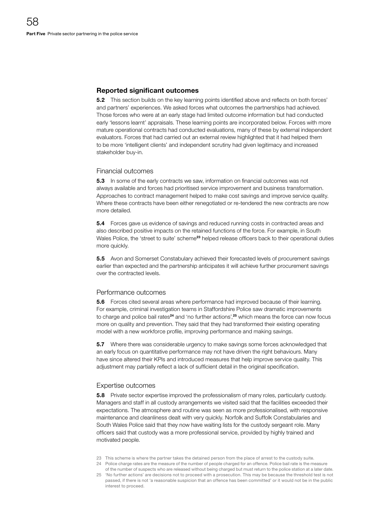#### Reported significant outcomes

**5.2** This section builds on the key learning points identified above and reflects on both forces' and partners' experiences. We asked forces what outcomes the partnerships had achieved. Those forces who were at an early stage had limited outcome information but had conducted early 'lessons learnt' appraisals. These learning points are incorporated below. Forces with more mature operational contracts had conducted evaluations, many of these by external independent evaluators. Forces that had carried out an external review highlighted that it had helped them to be more 'intelligent clients' and independent scrutiny had given legitimacy and increased stakeholder buy-in.

#### Financial outcomes

**5.3** In some of the early contracts we saw, information on financial outcomes was not always available and forces had prioritised service improvement and business transformation. Approaches to contract management helped to make cost savings and improve service quality. Where these contracts have been either renegotiated or re-tendered the new contracts are now more detailed.

**5.4** Forces gave us evidence of savings and reduced running costs in contracted areas and also described positive impacts on the retained functions of the force. For example, in South Wales Police, the 'street to suite' scheme<sup>23</sup> helped release officers back to their operational duties more quickly.

**5.5** Avon and Somerset Constabulary achieved their forecasted levels of procurement savings earlier than expected and the partnership anticipates it will achieve further procurement savings over the contracted levels.

#### Performance outcomes

5.6 Forces cited several areas where performance had improved because of their learning. For example, criminal investigation teams in Staffordshire Police saw dramatic improvements to charge and police bail rates<sup>24</sup> and 'no further actions',<sup>25</sup> which means the force can now focus more on quality and prevention. They said that they had transformed their existing operating model with a new workforce profile, improving performance and making savings.

**5.7** Where there was considerable urgency to make savings some forces acknowledged that an early focus on quantitative performance may not have driven the right behaviours. Many have since altered their KPIs and introduced measures that help improve service quality. This adjustment may partially reflect a lack of sufficient detail in the original specification.

#### Expertise outcomes

**5.8** Private sector expertise improved the professionalism of many roles, particularly custody. Managers and staff in all custody arrangements we visited said that the facilities exceeded their expectations. The atmosphere and routine was seen as more professionalised, with responsive maintenance and cleanliness dealt with very quickly. Norfolk and Suffolk Constabularies and South Wales Police said that they now have waiting lists for the custody sergeant role. Many officers said that custody was a more professional service, provided by highly trained and motivated people.

- 23 This scheme is where the partner takes the detained person from the place of arrest to the custody suite.
- 24 Police charge rates are the measure of the number of people charged for an offence. Police bail rate is the measure of the number of suspects who are released without being charged but must return to the police station at a later date.
- 25 'No further actions' are decisions not to proceed with a prosecution. This may be because the threshold test is not passed, if there is not 'a reasonable suspicion that an offence has been committed' or it would not be in the public interest to proceed.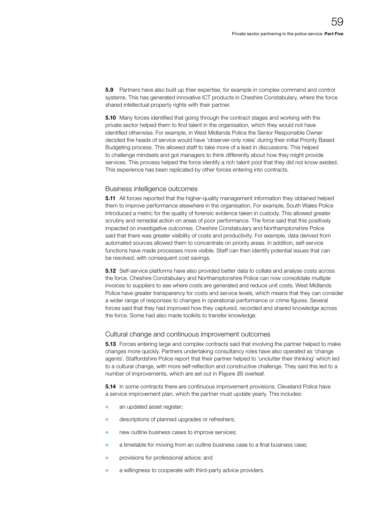**5.9** Partners have also built up their expertise, for example in complex command and control systems. This has generated innovative ICT products in Cheshire Constabulary, where the force shared intellectual property rights with their partner.

**5.10** Many forces identified that going through the contract stages and working with the private sector helped them to find talent in the organisation, which they would not have identified otherwise. For example, in West Midlands Police the Senior Responsible Owner decided the heads of service would have 'observer-only roles' during their initial Priority Based Budgeting process. This allowed staff to take more of a lead in discussions. This helped to challenge mindsets and got managers to think differently about how they might provide services. This process helped the force identify a rich talent pool that they did not know existed. This experience has been replicated by other forces entering into contracts.

#### Business intelligence outcomes

**5.11** All forces reported that the higher-quality management information they obtained helped them to improve performance elsewhere in the organisation. For example, South Wales Police introduced a metric for the quality of forensic evidence taken in custody. This allowed greater scrutiny and remedial action on areas of poor performance. The force said that this positively impacted on investigative outcomes. Cheshire Constabulary and Northamptonshire Police said that there was greater visibility of costs and productivity. For example, data derived from automated sources allowed them to concentrate on priority areas. In addition, self-service functions have made processes more visible. Staff can then identify potential issues that can be resolved, with consequent cost savings.

5.12 Self-service platforms have also provided better data to collate and analyse costs across the force. Cheshire Constabulary and Northamptonshire Police can now consolidate multiple invoices to suppliers to see where costs are generated and reduce unit costs. West Midlands Police have greater transparency for costs and service levels, which means that they can consider a wider range of responses to changes in operational performance or crime figures. Several forces said that they had improved how they captured, recorded and shared knowledge across the force. Some had also made toolkits to transfer knowledge.

#### Cultural change and continuous improvement outcomes

**5.13** Forces entering large and complex contracts said that involving the partner helped to make changes more quickly. Partners undertaking consultancy roles have also operated as 'change agents'. Staffordshire Police report that their partner helped to 'unclutter their thinking' which led to a cultural change, with more self-reflection and constructive challenge. They said this led to a number of improvements, which are set out in Figure 25 overleaf.

**5.14** In some contracts there are continuous improvement provisions. Cleveland Police have a service improvement plan, which the partner must update yearly. This includes:

- an updated asset register;
- **o** descriptions of planned upgrades or refreshers;
- new outline business cases to improve services;
- **a** a timetable for moving from an outline business case to a final business case;
- **•** provisions for professional advice; and
- **C** a willingness to cooperate with third-party advice providers.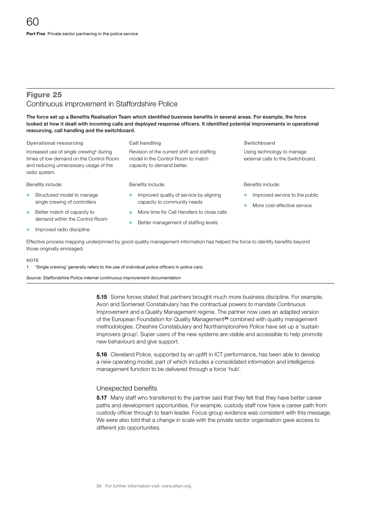#### Figure 25 Continuous improvement in Staffordshire Police

The force set up a Benefits Realisation Team which identified business benefits in several areas. For example, the force looked at how it dealt with incoming calls and deployed response officers. It identified potential improvements in operational resourcing, call handling and the switchboard.

#### Operational resourcing The Call handling Call of Call of Switchboard Switchboard

Increased use of single crewing<sup>1</sup> during times of low demand on the Control Room and reducing unnecessary usage of the radio system.

Revision of the current shift and staffing model in the Control Room to match capacity to demand better.

Benefits include:

- **Structured model to manage** single crewing of controllers
- **Better match of capacity to** demand within the Control Room
- Improved radio discipline

Benefits include:

- Improved quality of service by aligning capacity to community needs
- More time for Call Handlers to close calls
- Better management of staffing levels

Using technology to manage external calls to the Switchboard.

#### Benefits include:

- Improved service to the public
- More cost-effective service

Effective process mapping underpinned by good-quality management information has helped the force to identify benefits beyond those originally envisaged.

#### **NOTE**

1 'Single crewing' generally refers to the use of individual police officers in police cars.

*Source: Staffordshire Police internal continuous improvement documentation*

**5.15** Some forces stated that partners brought much more business discipline. For example, Avon and Somerset Constabulary has the contractual powers to mandate Continuous Improvement and a Quality Management regime. The partner now uses an adapted version of the European Foundation for Quality Management<sup>26</sup> combined with quality management methodologies. Cheshire Constabulary and Northamptonshire Police have set up a 'sustain improvers group'. Super users of the new systems are visible and accessible to help promote new behaviours and give support.

**5.16** Cleveland Police, supported by an uplift in ICT performance, has been able to develop a new operating model, part of which includes a consolidated information and intelligence management function to be delivered through a force 'hub'.

#### Unexpected benefits

**5.17** Many staff who transferred to the partner said that they felt that they have better career paths and development opportunities. For example, custody staff now have a career path from custody officer through to team leader. Focus group evidence was consistent with this message. We were also told that a change in scale with the private sector organisation gave access to different job opportunities.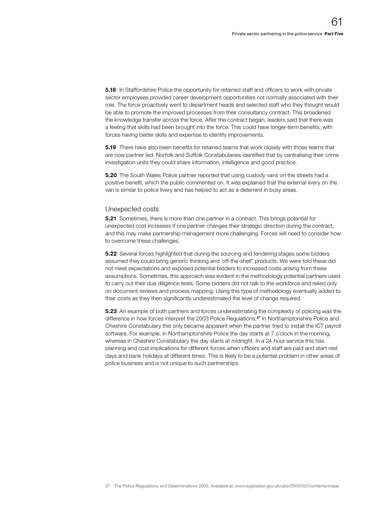**5.18** In Staffordshire Police the opportunity for retained staff and officers to work with private sector employees provided career development opportunities not normally associated with their role. The force proactively went to department heads and selected staff who they thought would be able to promote the improved processes from their consultancy contract. This broadened the knowledge transfer across the force. After the contract began, leaders said that there was a feeling that skills had been brought into the force. This could have longer-term benefits, with forces having better skills and expertise to identify improvements.

**5.19** There have also been benefits for retained teams that work closely with those teams that are now partner led. Norfolk and Suffolk Constabularies identified that by centralising their crime investigation units they could share information, intelligence and good practice.

**5.20** The South Wales Police partner reported that using custody vans on the streets had a positive benefit, which the public commented on. It was explained that the external livery on the van is similar to police livery and has helped to act as a deterrent in busy areas.

#### Unexpected costs

**5.21** Sometimes, there is more than one partner in a contract. This brings potential for unexpected cost increases if one partner changes their strategic direction during the contract, and this may make partnership management more challenging. Forces will need to consider how to overcome these challenges.

**5.22** Several forces highlighted that during the sourcing and tendering stages some bidders assumed they could bring generic thinking and 'off-the-shelf' products. We were told these did not meet expectations and exposed potential bidders to increased costs arising from these assumptions. Sometimes, this approach was evident in the methodology potential partners used to carry out their due diligence tests. Some bidders did not talk to the workforce and relied only on document reviews and process mapping. Using this type of methodology eventually added to their costs as they then significantly underestimated the level of change required.

**5.23** An example of both partners and forces underestimating the complexity of policing was the difference in how forces interpret the 2003 Police Regulations.27 In Northamptonshire Police and Cheshire Constabulary this only became apparent when the partner tried to install the ICT payroll software. For example, in Northamptonshire Police the day starts at 7 o'clock in the morning, whereas in Cheshire Constabulary the day starts at midnight. In a 24-hour service this has planning and cost implications for different forces when officers and staff are paid and start rest days and bank holidays at different times. This is likely to be a potential problem in other areas of police business and is not unique to such partnerships.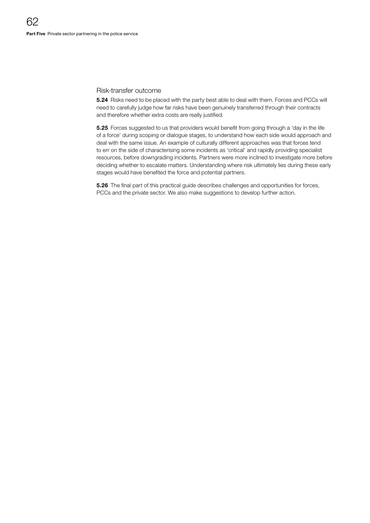#### Risk-transfer outcome

5.24 Risks need to be placed with the party best able to deal with them. Forces and PCCs will need to carefully judge how far risks have been genuinely transferred through their contracts and therefore whether extra costs are really justified.

5.25 Forces suggested to us that providers would benefit from going through a 'day in the life of a force' during scoping or dialogue stages, to understand how each side would approach and deal with the same issue. An example of culturally different approaches was that forces tend to err on the side of characterising some incidents as 'critical' and rapidly providing specialist resources, before downgrading incidents. Partners were more inclined to investigate more before deciding whether to escalate matters. Understanding where risk ultimately lies during these early stages would have benefited the force and potential partners.

**5.26** The final part of this practical guide describes challenges and opportunities for forces, PCCs and the private sector. We also make suggestions to develop further action.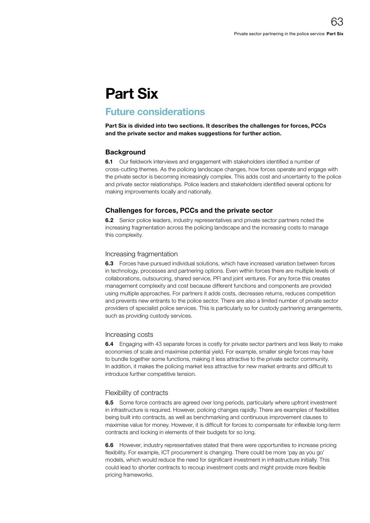# Part Six

## Future considerations

Part Six is divided into two sections. It describes the challenges for forces, PCCs and the private sector and makes suggestions for further action.

#### **Background**

6.1 Our fieldwork interviews and engagement with stakeholders identified a number of cross-cutting themes. As the policing landscape changes, how forces operate and engage with the private sector is becoming increasingly complex. This adds cost and uncertainty to the police and private sector relationships. Police leaders and stakeholders identified several options for making improvements locally and nationally.

#### Challenges for forces, PCCs and the private sector

6.2 Senior police leaders, industry representatives and private sector partners noted the increasing fragmentation across the policing landscape and the increasing costs to manage this complexity.

#### Increasing fragmentation

**6.3** Forces have pursued individual solutions, which have increased variation between forces in technology, processes and partnering options. Even within forces there are multiple levels of collaborations, outsourcing, shared service, PFI and joint ventures. For any force this creates management complexity and cost because different functions and components are provided using multiple approaches. For partners it adds costs, decreases returns, reduces competition and prevents new entrants to the police sector. There are also a limited number of private sector providers of specialist police services. This is particularly so for custody partnering arrangements, such as providing custody services.

#### Increasing costs

**6.4** Engaging with 43 separate forces is costly for private sector partners and less likely to make economies of scale and maximise potential yield. For example, smaller single forces may have to bundle together some functions, making it less attractive to the private sector community. In addition, it makes the policing market less attractive for new market entrants and difficult to introduce further competitive tension.

#### Flexibility of contracts

**6.5** Some force contracts are agreed over long periods, particularly where upfront investment in infrastructure is required. However, policing changes rapidly. There are examples of flexibilities being built into contracts, as well as benchmarking and continuous improvement clauses to maximise value for money. However, it is difficult for forces to compensate for inflexible long-term contracts and locking in elements of their budgets for so long.

6.6 However, industry representatives stated that there were opportunities to increase pricing flexibility. For example, ICT procurement is changing. There could be more 'pay as you go' models, which would reduce the need for significant investment in infrastructure initially. This could lead to shorter contracts to recoup investment costs and might provide more flexible pricing frameworks.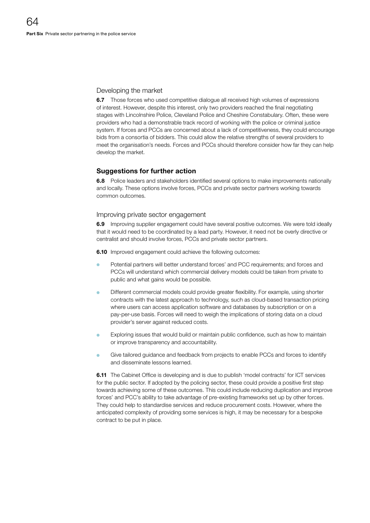#### Developing the market

**6.7** Those forces who used competitive dialogue all received high volumes of expressions of interest. However, despite this interest, only two providers reached the final negotiating stages with Lincolnshire Police, Cleveland Police and Cheshire Constabulary. Often, these were providers who had a demonstrable track record of working with the police or criminal justice system. If forces and PCCs are concerned about a lack of competitiveness, they could encourage bids from a consortia of bidders. This could allow the relative strengths of several providers to meet the organisation's needs. Forces and PCCs should therefore consider how far they can help develop the market.

#### Suggestions for further action

**6.8** Police leaders and stakeholders identified several options to make improvements nationally and locally. These options involve forces, PCCs and private sector partners working towards common outcomes.

#### Improving private sector engagement

**6.9** Improving supplier engagement could have several positive outcomes. We were told ideally that it would need to be coordinated by a lead party. However, it need not be overly directive or centralist and should involve forces, PCCs and private sector partners.

**6.10** Improved engagement could achieve the following outcomes:

- Potential partners will better understand forces' and PCC requirements; and forces and PCCs will understand which commercial delivery models could be taken from private to public and what gains would be possible.
- Different commercial models could provide greater flexibility. For example, using shorter contracts with the latest approach to technology, such as cloud-based transaction pricing where users can access application software and databases by subscription or on a pay-per-use basis. Forces will need to weigh the implications of storing data on a cloud provider's server against reduced costs.
- Exploring issues that would build or maintain public confidence, such as how to maintain or improve transparency and accountability.
- Give tailored guidance and feedback from projects to enable PCCs and forces to identify and disseminate lessons learned.

**6.11** The Cabinet Office is developing and is due to publish 'model contracts' for ICT services for the public sector. If adopted by the policing sector, these could provide a positive first step towards achieving some of these outcomes. This could include reducing duplication and improve forces' and PCC's ability to take advantage of pre-existing frameworks set up by other forces. They could help to standardise services and reduce procurement costs. However, where the anticipated complexity of providing some services is high, it may be necessary for a bespoke contract to be put in place.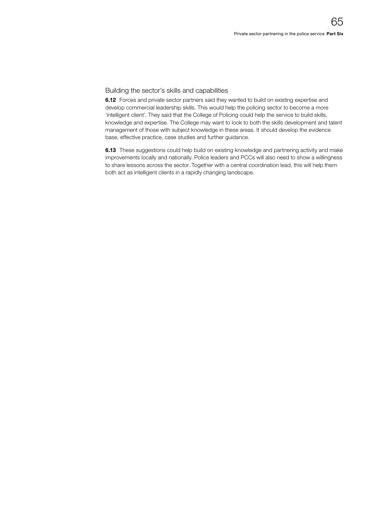#### Building the sector's skills and capabilities

**6.12** Forces and private sector partners said they wanted to build on existing expertise and develop commercial leadership skills. This would help the policing sector to become a more 'intelligent client'. They said that the College of Policing could help the service to build skills, knowledge and expertise. The College may want to look to both the skills development and talent management of those with subject knowledge in these areas. It should develop the evidence base, effective practice, case studies and further guidance.

**6.13** These suggestions could help build on existing knowledge and partnering activity and make improvements locally and nationally. Police leaders and PCCs will also need to show a willingness to share lessons across the sector. Together with a central coordination lead, this will help them both act as intelligent clients in a rapidly changing landscape.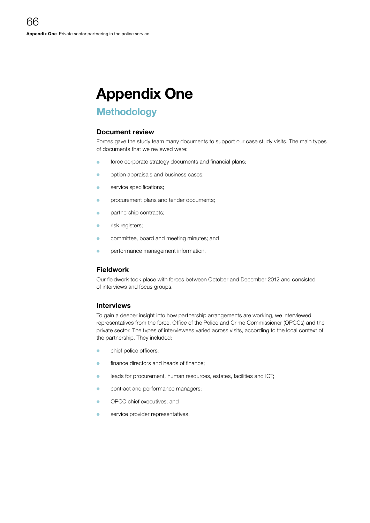# Appendix One

## **Methodology**

#### Document review

Forces gave the study team many documents to support our case study visits. The main types of documents that we reviewed were:

- force corporate strategy documents and financial plans;
- option appraisals and business cases;
- service specifications;
- **•** procurement plans and tender documents;
- **o** partnership contracts;
- **o** risk registers;
- committee, board and meeting minutes; and
- performance management information.

#### Fieldwork

Our fieldwork took place with forces between October and December 2012 and consisted of interviews and focus groups.

#### Interviews

To gain a deeper insight into how partnership arrangements are working, we interviewed representatives from the force, Office of the Police and Crime Commissioner (OPCCs) and the private sector. The types of interviewees varied across visits, according to the local context of the partnership. They included:

- $\bullet$  chief police officers;
- finance directors and heads of finance:
- **o** leads for procurement, human resources, estates, facilities and ICT;
- **•** contract and performance managers;
- OPCC chief executives: and
- **o** service provider representatives.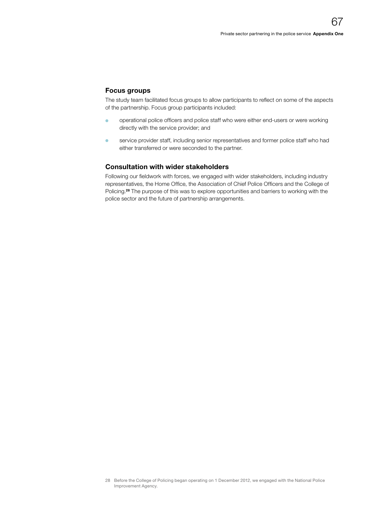#### Focus groups

The study team facilitated focus groups to allow participants to reflect on some of the aspects of the partnership. Focus group participants included:

- **O** operational police officers and police staff who were either end-users or were working directly with the service provider; and
- <sup>O</sup> service provider staff, including senior representatives and former police staff who had either transferred or were seconded to the partner.

#### Consultation with wider stakeholders

Following our fieldwork with forces, we engaged with wider stakeholders, including industry representatives, the Home Office, the Association of Chief Police Officers and the College of Policing.<sup>28</sup> The purpose of this was to explore opportunities and barriers to working with the police sector and the future of partnership arrangements.

<sup>28</sup> Before the College of Policing began operating on 1 December 2012, we engaged with the National Police Improvement Agency.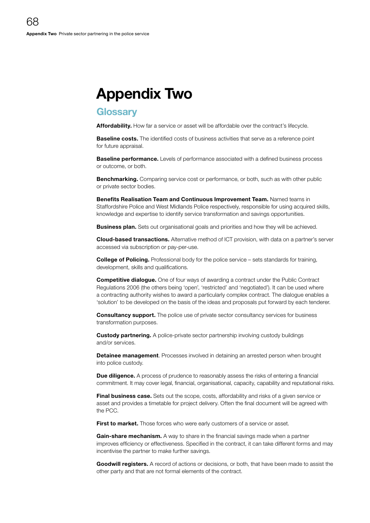## Appendix Two

### **Glossarv**

Affordability. How far a service or asset will be affordable over the contract's lifecycle.

**Baseline costs.** The identified costs of business activities that serve as a reference point for future appraisal.

**Baseline performance.** Levels of performance associated with a defined business process or outcome, or both.

**Benchmarking.** Comparing service cost or performance, or both, such as with other public or private sector bodies.

Benefits Realisation Team and Continuous Improvement Team. Named teams in Staffordshire Police and West Midlands Police respectively, responsible for using acquired skills, knowledge and expertise to identify service transformation and savings opportunities.

**Business plan.** Sets out organisational goals and priorities and how they will be achieved.

Cloud-based transactions. Alternative method of ICT provision, with data on a partner's server accessed via subscription or pay-per-use.

**College of Policing.** Professional body for the police service – sets standards for training, development, skills and qualifications.

**Competitive dialogue.** One of four ways of awarding a contract under the Public Contract Regulations 2006 (the others being 'open', 'restricted' and 'negotiated'). It can be used where a contracting authority wishes to award a particularly complex contract. The dialogue enables a 'solution' to be developed on the basis of the ideas and proposals put forward by each tenderer.

**Consultancy support.** The police use of private sector consultancy services for business transformation purposes.

**Custody partnering.** A police-private sector partnership involving custody buildings and/or services.

**Detainee management**. Processes involved in detaining an arrested person when brought into police custody.

**Due diligence.** A process of prudence to reasonably assess the risks of entering a financial commitment. It may cover legal, financial, organisational, capacity, capability and reputational risks.

**Final business case.** Sets out the scope, costs, affordability and risks of a given service or asset and provides a timetable for project delivery. Often the final document will be agreed with the PCC.

First to market. Those forces who were early customers of a service or asset.

Gain-share mechanism. A way to share in the financial savings made when a partner improves efficiency or effectiveness. Specified in the contract, it can take different forms and may incentivise the partner to make further savings.

**Goodwill registers.** A record of actions or decisions, or both, that have been made to assist the other party and that are not formal elements of the contract.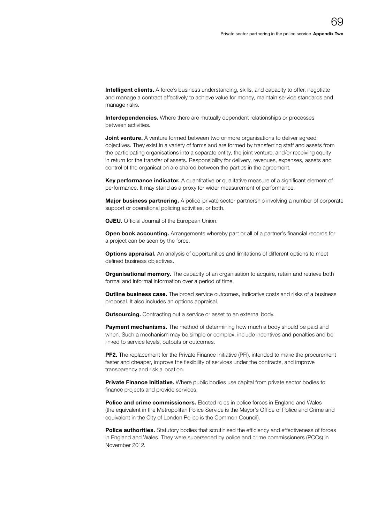**Intelligent clients.** A force's business understanding, skills, and capacity to offer, negotiate and manage a contract effectively to achieve value for money, maintain service standards and manage risks.

Interdependencies. Where there are mutually dependent relationships or processes between activities.

**Joint venture.** A venture formed between two or more organisations to deliver agreed objectives. They exist in a variety of forms and are formed by transferring staff and assets from the participating organisations into a separate entity, the joint venture, and/or receiving equity in return for the transfer of assets. Responsibility for delivery, revenues, expenses, assets and control of the organisation are shared between the parties in the agreement.

Key performance indicator. A quantitative or qualitative measure of a significant element of performance. It may stand as a proxy for wider measurement of performance.

Major business partnering. A police-private sector partnership involving a number of corporate support or operational policing activities, or both.

**OJEU.** Official Journal of the European Union.

**Open book accounting.** Arrangements whereby part or all of a partner's financial records for a project can be seen by the force.

Options appraisal. An analysis of opportunities and limitations of different options to meet defined business objectives.

Organisational memory. The capacity of an organisation to acquire, retain and retrieve both formal and informal information over a period of time.

**Outline business case.** The broad service outcomes, indicative costs and risks of a business proposal. It also includes an options appraisal.

**Outsourcing.** Contracting out a service or asset to an external body.

**Payment mechanisms.** The method of determining how much a body should be paid and when. Such a mechanism may be simple or complex, include incentives and penalties and be linked to service levels, outputs or outcomes.

PF2. The replacement for the Private Finance Initiative (PFI), intended to make the procurement faster and cheaper, improve the flexibility of services under the contracts, and improve transparency and risk allocation.

**Private Finance Initiative.** Where public bodies use capital from private sector bodies to finance projects and provide services.

Police and crime commissioners. Elected roles in police forces in England and Wales (the equivalent in the Metropolitan Police Service is the Mayor's Office of Police and Crime and equivalent in the City of London Police is the Common Council).

Police authorities. Statutory bodies that scrutinised the efficiency and effectiveness of forces in England and Wales. They were superseded by police and crime commissioners (PCCs) in November 2012.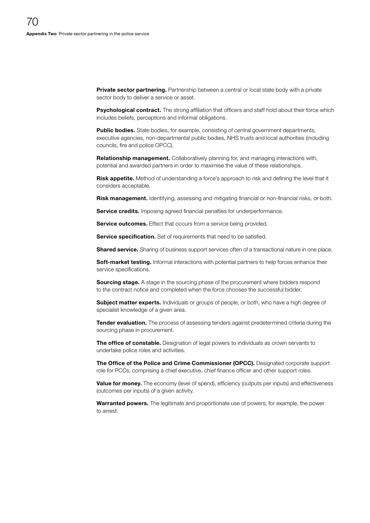**Private sector partnering.** Partnership between a central or local state body with a private sector body to deliver a service or asset.

Psychological contract. The strong affiliation that officers and staff hold about their force which includes beliefs, perceptions and informal obligations.

Public bodies. State bodies, for example, consisting of central government departments, executive agencies, non-departmental public bodies, NHS trusts and local authorities (including councils, fire and police OPCC).

**Relationship management.** Collaboratively planning for, and managing interactions with, potential and awarded partners in order to maximise the value of these relationships.

Risk appetite. Method of understanding a force's approach to risk and defining the level that it considers acceptable.

Risk management. Identifying, assessing and mitigating financial or non-financial risks, or both.

Service credits. Imposing agreed financial penalties for underperformance.

Service outcomes. Effect that occurs from a service being provided.

Service specification. Set of requirements that need to be satisfied.

**Shared service.** Sharing of business support services often of a transactional nature in one place.

Soft-market testing. Informal interactions with potential partners to help forces enhance their service specifications.

**Sourcing stage.** A stage in the sourcing phase of the procurement where bidders respond to the contract notice and completed when the force chooses the successful bidder.

Subject matter experts. Individuals or groups of people, or both, who have a high degree of specialist knowledge of a given area.

**Tender evaluation.** The process of assessing tenders against predetermined criteria during the sourcing phase in procurement.

The office of constable. Designation of legal powers to individuals as crown servants to undertake police roles and activities.

The Office of the Police and Crime Commissioner (OPCC). Designated corporate support role for PCCs, comprising a chief executive, chief finance officer and other support roles.

Value for money. The economy (level of spend), efficiency (outputs per inputs) and effectiveness (outcomes per inputs) of a given activity.

Warranted powers. The legitimate and proportionate use of powers, for example, the power to arrest.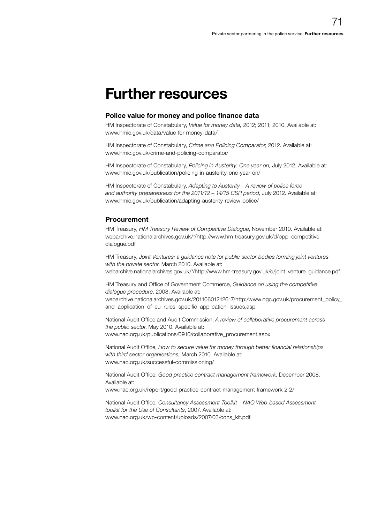## Further resources

#### Police value for money and police finance data

HM Inspectorate of Constabulary, *Value for money data,* 2012; 2011; 2010. Available at: www.hmic.gov.uk/data/value-for-money-data/

HM Inspectorate of Constabulary, *Crime and Policing Comparator*, 2012. Available at: www.hmic.gov.uk/crime-and-policing-comparator/

HM Inspectorate of Constabulary, *Policing in Austerity: One year on,* July 2012. Available at: www.hmic.gov.uk/publication/policing-in-austerity-one-year-on/

HM Inspectorate of Constabulary, *Adapting to Austerity – A review of police force and authority preparedness for the 2011/12 – 14/15 CSR period*, July 2012. Available at: www.hmic.gov.uk/publication/adapting-austerity-review-police/

#### Procurement

HM Treasury, *HM Treasury Review of Competitive Dialogue*, November 2010. Available at: [webarchive.nationalarchives.gov.uk/\\*/http://www.hm-treasury.gov.uk/d/ppp\\_competitive\\_](http://webarchive.nationalarchives.gov.uk/*/http://www.hm-treasury.gov.uk/d/ppp_competitive_dialogue.pdf) [dialogue.pdf](http://webarchive.nationalarchives.gov.uk/%2A/http://www.hm-treasury.gov.uk/d/ppp_competitive_dialogue.pdf)

HM Treasury, *Joint Ventures: a guidance note for public sector bodies forming joint ventures with the private sector*, March 2010. Available at: [webarchive.nationalarchives.gov.uk/\\*/http://www.hm-treasury.gov.uk/d/joint\\_venture\\_guidance.pdf](http://webarchive.nationalarchives.gov.uk/*/http://www.hm-treasury.gov.uk/d/joint_venture_guidance.pdf)

HM Treasury and Office of Government Commerce, *Guidance on using the competitive dialogue procedure*, 2008. Available at: [webarchive.nationalarchives.gov.uk/20110601212617/http:/www.ogc.gov.uk/procurement\\_policy\\_](http://webarchive.nationalarchives.gov.uk/20110601212617/http:/www.ogc.gov.uk/procurement_policy_and_application_of_eu_rules_specific_application_issues.asp) and application of eu rules specific application issues.asp

National Audit Office and Audit Commission, *A review of collaborative procurement across the public sector*, May 2010. Available at: www.nao.org.uk/publications/0910/collaborative\_procurement.aspx

National Audit Office, *How to secure value for money through better financial relationships with third sector organisations,* March 2010. Available at: www.nao.org.uk/successful-commissioning/

National Audit Office, *Good practice contract management framework*, December 2008. Available at:

www.nao.org.uk/report/good-practice-contract-management-framework-2-2/

National Audit Office, *Consultancy Assessment Toolkit – NAO Web-based Assessment toolkit for the Use of Consultants*, 2007. Available at: www.nao.org.uk/wp-content/uploads/2007/03/cons\_kit.pdf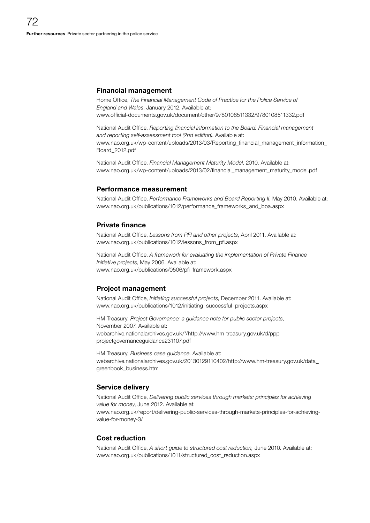#### Financial management

Home Office, *The Financial Management Code of Practice for the Police Service of England and Wales*, January 2012. Available at: www.official-documents.gov.uk/document/other/9780108511332/9780108511332.pdf

National Audit Office, *Reporting financial information to the Board: Financial management and reporting self-assessment tool (2nd edition)*. Available at: [www.nao.org.uk/wp-content/uploads/2013/03/Reporting\\_financial\\_management\\_information\\_](http://www.nao.org.uk/wp-content/uploads/2013/03/Reporting_financial_management_information_Board_2012.pdf) [Board\\_2012.pdf](http://www.nao.org.uk/wp-content/uploads/2013/03/Reporting_financial_management_information_Board_2012.pdf)

National Audit Office, *Financial Management Maturity Model*, 2010. Available at: www.nao.org.uk/wp-content/uploads/2013/02/financial\_management\_maturity\_model.pdf

#### Performance measurement

National Audit Office, *Performance Frameworks and Board Reporting II*, May 2010. Available at: www.nao.org.uk/publications/1012/performance\_frameworks\_and\_boa.aspx

#### Private finance

National Audit Office, *Lessons from PFI and other projects*, April 2011. Available at: www.nao.org.uk/publications/1012/lessons\_from\_pfi.aspx

National Audit Office, *A framework for evaluating the implementation of Private Finance Initiative projects*, May 2006. Available at: www.nao.org.uk/publications/0506/pfi\_framework.aspx

#### Project management

National Audit Office, *Initiating successful projects*, December 2011. Available at: www.nao.org.uk/publications/1012/initiating\_successful\_projects.aspx

HM Treasury, *Project Governance: a guidance note for public sector projects*, November 2007. Available at: [webarchive.nationalarchives.gov.uk/\\*/http://www.hm-treasury.gov.uk/d/ppp\\_](http://webarchive.nationalarchives.gov.uk/*/http://www.hm-treasury.gov.uk/d/ppp_projectgovernanceguidance231107.pdf) [projectgovernanceguidance231107.pdf](http://webarchive.nationalarchives.gov.uk/%252A/http://www.hm-treasury.gov.uk/d/ppp_projectgovernanceguidance231107.pdf)

HM Treasury, *Business case guidance*. Available at: [webarchive.nationalarchives.gov.uk/20130129110402/http://www.hm-treasury.gov.uk/data\\_](http://webarchive.nationalarchives.gov.uk/20130129110402/http://www.hm-treasury.gov.uk/data_greenbook_business.htm) [greenbook\\_business.htm](http://webarchive.nationalarchives.gov.uk/20130129110402/http://www.hm-treasury.gov.uk/data_greenbook_business.htm)

#### Service delivery

National Audit Office, *Delivering public services through markets: principles for achieving value for money*, June 2012. Available at:

www.nao.org.uk/report/delivering-public-services-through-markets-principles-for-achievingvalue-for-money-3/

#### Cost reduction

National Audit Office, *A short guide to structured cost reduction,* June 2010. Available at: www.nao.org.uk/publications/1011/structured\_cost\_reduction.aspx